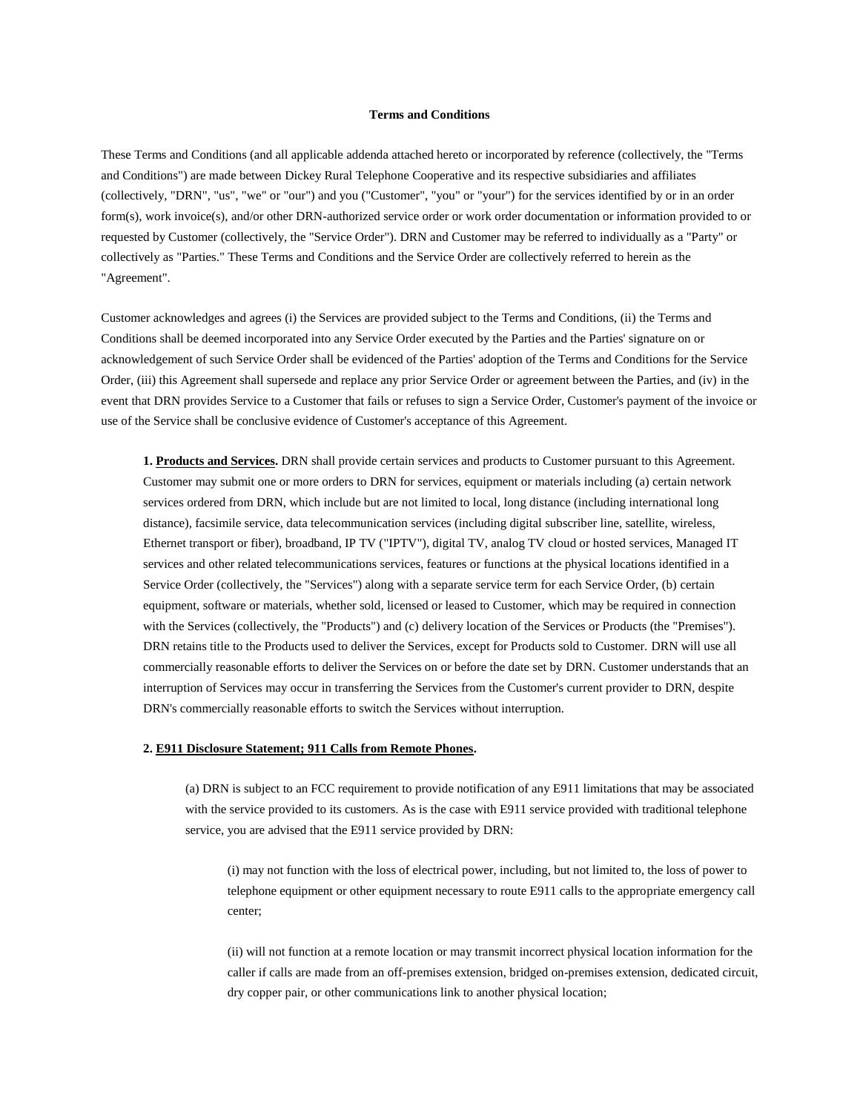#### **Terms and Conditions**

These Terms and Conditions (and all applicable addenda attached hereto or incorporated by reference (collectively, the "Terms and Conditions") are made between Dickey Rural Telephone Cooperative and its respective subsidiaries and affiliates (collectively, "DRN", "us", "we" or "our") and you ("Customer", "you" or "your") for the services identified by or in an order form(s), work invoice(s), and/or other DRN-authorized service order or work order documentation or information provided to or requested by Customer (collectively, the "Service Order"). DRN and Customer may be referred to individually as a "Party" or collectively as "Parties." These Terms and Conditions and the Service Order are collectively referred to herein as the "Agreement".

Customer acknowledges and agrees (i) the Services are provided subject to the Terms and Conditions, (ii) the Terms and Conditions shall be deemed incorporated into any Service Order executed by the Parties and the Parties' signature on or acknowledgement of such Service Order shall be evidenced of the Parties' adoption of the Terms and Conditions for the Service Order, (iii) this Agreement shall supersede and replace any prior Service Order or agreement between the Parties, and (iv) in the event that DRN provides Service to a Customer that fails or refuses to sign a Service Order, Customer's payment of the invoice or use of the Service shall be conclusive evidence of Customer's acceptance of this Agreement.

**1. Products and Services.** DRN shall provide certain services and products to Customer pursuant to this Agreement. Customer may submit one or more orders to DRN for services, equipment or materials including (a) certain network services ordered from DRN, which include but are not limited to local, long distance (including international long distance), facsimile service, data telecommunication services (including digital subscriber line, satellite, wireless, Ethernet transport or fiber), broadband, IP TV ("IPTV"), digital TV, analog TV cloud or hosted services, Managed IT services and other related telecommunications services, features or functions at the physical locations identified in a Service Order (collectively, the "Services") along with a separate service term for each Service Order, (b) certain equipment, software or materials, whether sold, licensed or leased to Customer, which may be required in connection with the Services (collectively, the "Products") and (c) delivery location of the Services or Products (the "Premises"). DRN retains title to the Products used to deliver the Services, except for Products sold to Customer. DRN will use all commercially reasonable efforts to deliver the Services on or before the date set by DRN. Customer understands that an interruption of Services may occur in transferring the Services from the Customer's current provider to DRN, despite DRN's commercially reasonable efforts to switch the Services without interruption.

## **2. E911 Disclosure Statement; 911 Calls from Remote Phones.**

(a) DRN is subject to an FCC requirement to provide notification of any E911 limitations that may be associated with the service provided to its customers. As is the case with E911 service provided with traditional telephone service, you are advised that the E911 service provided by DRN:

(i) may not function with the loss of electrical power, including, but not limited to, the loss of power to telephone equipment or other equipment necessary to route E911 calls to the appropriate emergency call center;

(ii) will not function at a remote location or may transmit incorrect physical location information for the caller if calls are made from an off-premises extension, bridged on-premises extension, dedicated circuit, dry copper pair, or other communications link to another physical location;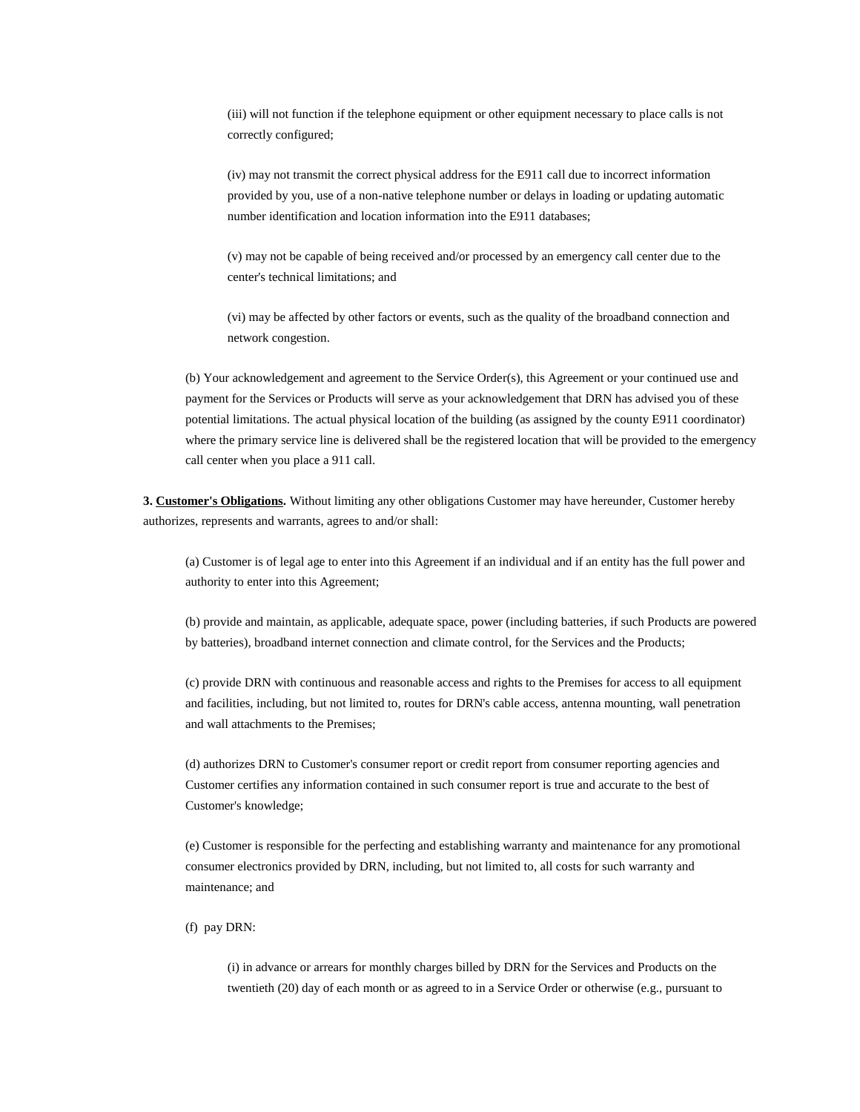(iii) will not function if the telephone equipment or other equipment necessary to place calls is not correctly configured;

(iv) may not transmit the correct physical address for the E911 call due to incorrect information provided by you, use of a non-native telephone number or delays in loading or updating automatic number identification and location information into the E911 databases;

(v) may not be capable of being received and/or processed by an emergency call center due to the center's technical limitations; and

(vi) may be affected by other factors or events, such as the quality of the broadband connection and network congestion.

(b) Your acknowledgement and agreement to the Service Order(s), this Agreement or your continued use and payment for the Services or Products will serve as your acknowledgement that DRN has advised you of these potential limitations. The actual physical location of the building (as assigned by the county E911 coordinator) where the primary service line is delivered shall be the registered location that will be provided to the emergency call center when you place a 911 call.

**3. Customer's Obligations.** Without limiting any other obligations Customer may have hereunder, Customer hereby authorizes, represents and warrants, agrees to and/or shall:

(a) Customer is of legal age to enter into this Agreement if an individual and if an entity has the full power and authority to enter into this Agreement;

(b) provide and maintain, as applicable, adequate space, power (including batteries, if such Products are powered by batteries), broadband internet connection and climate control, for the Services and the Products;

(c) provide DRN with continuous and reasonable access and rights to the Premises for access to all equipment and facilities, including, but not limited to, routes for DRN's cable access, antenna mounting, wall penetration and wall attachments to the Premises;

(d) authorizes DRN to Customer's consumer report or credit report from consumer reporting agencies and Customer certifies any information contained in such consumer report is true and accurate to the best of Customer's knowledge;

(e) Customer is responsible for the perfecting and establishing warranty and maintenance for any promotional consumer electronics provided by DRN, including, but not limited to, all costs for such warranty and maintenance; and

(f) pay DRN:

(i) in advance or arrears for monthly charges billed by DRN for the Services and Products on the twentieth (20) day of each month or as agreed to in a Service Order or otherwise (e.g., pursuant to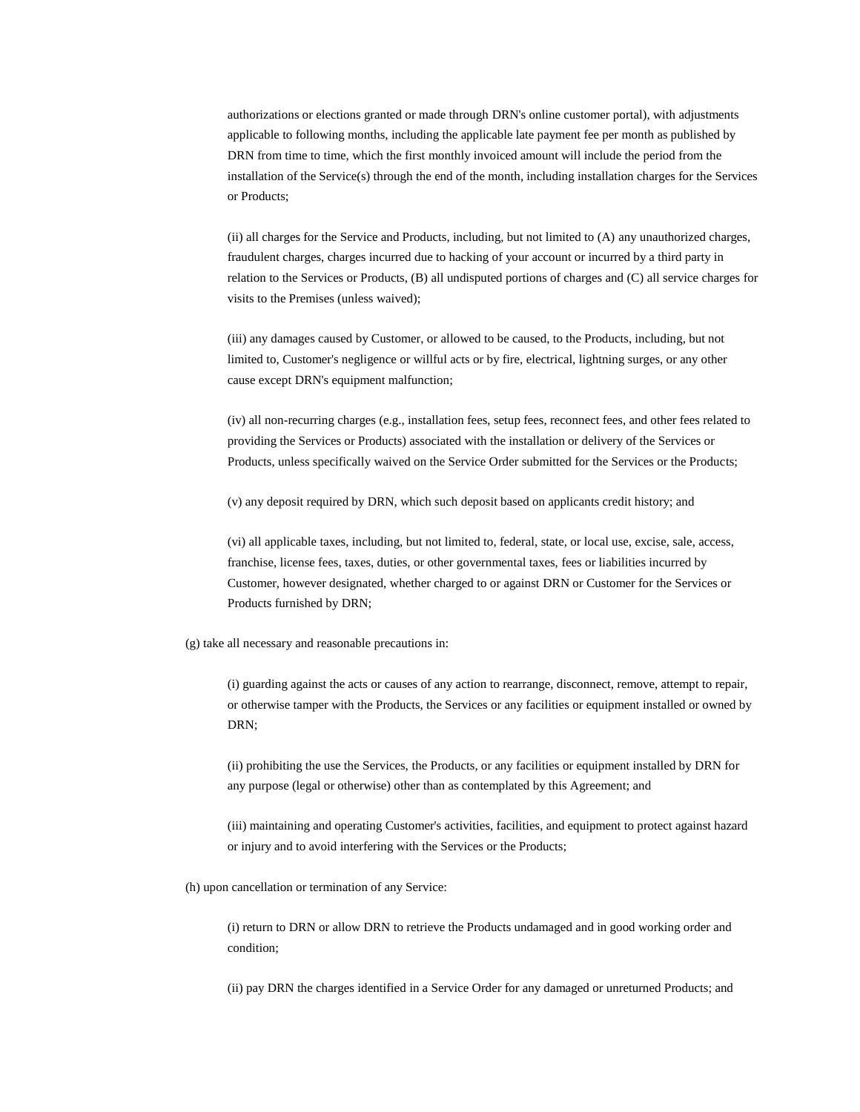authorizations or elections granted or made through DRN's online customer portal), with adjustments applicable to following months, including the applicable late payment fee per month as published by DRN from time to time, which the first monthly invoiced amount will include the period from the installation of the Service(s) through the end of the month, including installation charges for the Services or Products;

(ii) all charges for the Service and Products, including, but not limited to (A) any unauthorized charges, fraudulent charges, charges incurred due to hacking of your account or incurred by a third party in relation to the Services or Products, (B) all undisputed portions of charges and (C) all service charges for visits to the Premises (unless waived);

(iii) any damages caused by Customer, or allowed to be caused, to the Products, including, but not limited to, Customer's negligence or willful acts or by fire, electrical, lightning surges, or any other cause except DRN's equipment malfunction;

(iv) all non-recurring charges (e.g., installation fees, setup fees, reconnect fees, and other fees related to providing the Services or Products) associated with the installation or delivery of the Services or Products, unless specifically waived on the Service Order submitted for the Services or the Products;

(v) any deposit required by DRN, which such deposit based on applicants credit history; and

(vi) all applicable taxes, including, but not limited to, federal, state, or local use, excise, sale, access, franchise, license fees, taxes, duties, or other governmental taxes, fees or liabilities incurred by Customer, however designated, whether charged to or against DRN or Customer for the Services or Products furnished by DRN;

(g) take all necessary and reasonable precautions in:

(i) guarding against the acts or causes of any action to rearrange, disconnect, remove, attempt to repair, or otherwise tamper with the Products, the Services or any facilities or equipment installed or owned by DRN;

(ii) prohibiting the use the Services, the Products, or any facilities or equipment installed by DRN for any purpose (legal or otherwise) other than as contemplated by this Agreement; and

(iii) maintaining and operating Customer's activities, facilities, and equipment to protect against hazard or injury and to avoid interfering with the Services or the Products;

(h) upon cancellation or termination of any Service:

(i) return to DRN or allow DRN to retrieve the Products undamaged and in good working order and condition;

(ii) pay DRN the charges identified in a Service Order for any damaged or unreturned Products; and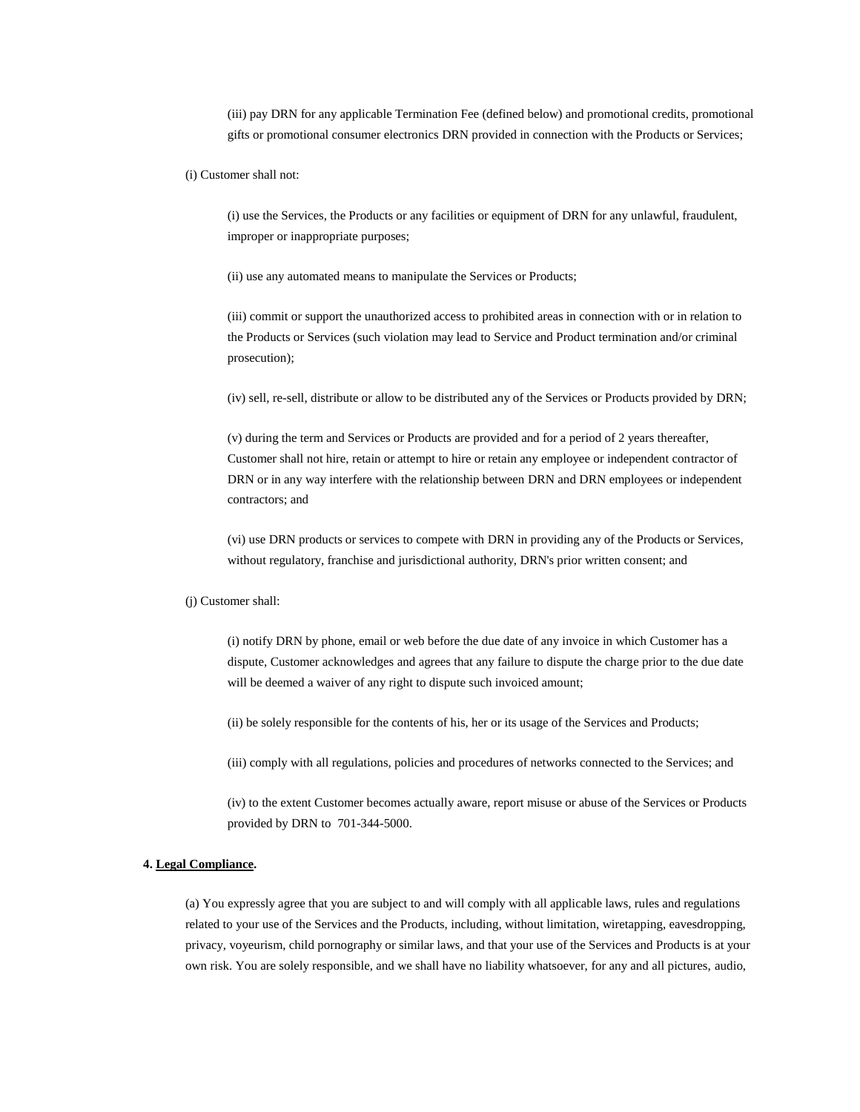(iii) pay DRN for any applicable Termination Fee (defined below) and promotional credits, promotional gifts or promotional consumer electronics DRN provided in connection with the Products or Services;

(i) Customer shall not:

(i) use the Services, the Products or any facilities or equipment of DRN for any unlawful, fraudulent, improper or inappropriate purposes;

(ii) use any automated means to manipulate the Services or Products;

(iii) commit or support the unauthorized access to prohibited areas in connection with or in relation to the Products or Services (such violation may lead to Service and Product termination and/or criminal prosecution);

(iv) sell, re-sell, distribute or allow to be distributed any of the Services or Products provided by DRN;

(v) during the term and Services or Products are provided and for a period of 2 years thereafter, Customer shall not hire, retain or attempt to hire or retain any employee or independent contractor of DRN or in any way interfere with the relationship between DRN and DRN employees or independent contractors; and

(vi) use DRN products or services to compete with DRN in providing any of the Products or Services, without regulatory, franchise and jurisdictional authority, DRN's prior written consent; and

(j) Customer shall:

(i) notify DRN by phone, email or web before the due date of any invoice in which Customer has a dispute, Customer acknowledges and agrees that any failure to dispute the charge prior to the due date will be deemed a waiver of any right to dispute such invoiced amount;

(ii) be solely responsible for the contents of his, her or its usage of the Services and Products;

(iii) comply with all regulations, policies and procedures of networks connected to the Services; and

(iv) to the extent Customer becomes actually aware, report misuse or abuse of the Services or Products provided by DRN to 701-344-5000.

#### **4. Legal Compliance.**

(a) You expressly agree that you are subject to and will comply with all applicable laws, rules and regulations related to your use of the Services and the Products, including, without limitation, wiretapping, eavesdropping, privacy, voyeurism, child pornography or similar laws, and that your use of the Services and Products is at your own risk. You are solely responsible, and we shall have no liability whatsoever, for any and all pictures, audio,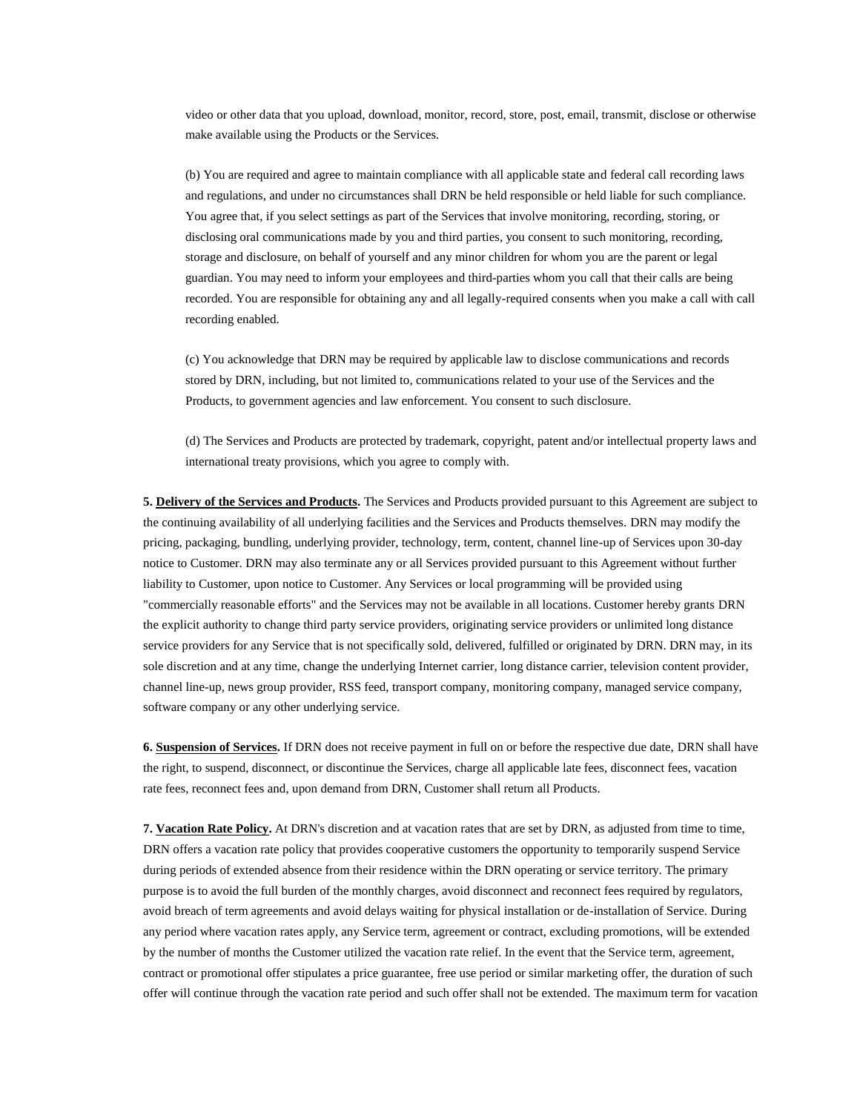video or other data that you upload, download, monitor, record, store, post, email, transmit, disclose or otherwise make available using the Products or the Services.

(b) You are required and agree to maintain compliance with all applicable state and federal call recording laws and regulations, and under no circumstances shall DRN be held responsible or held liable for such compliance. You agree that, if you select settings as part of the Services that involve monitoring, recording, storing, or disclosing oral communications made by you and third parties, you consent to such monitoring, recording, storage and disclosure, on behalf of yourself and any minor children for whom you are the parent or legal guardian. You may need to inform your employees and third-parties whom you call that their calls are being recorded. You are responsible for obtaining any and all legally-required consents when you make a call with call recording enabled.

(c) You acknowledge that DRN may be required by applicable law to disclose communications and records stored by DRN, including, but not limited to, communications related to your use of the Services and the Products, to government agencies and law enforcement. You consent to such disclosure.

(d) The Services and Products are protected by trademark, copyright, patent and/or intellectual property laws and international treaty provisions, which you agree to comply with.

**5. Delivery of the Services and Products.** The Services and Products provided pursuant to this Agreement are subject to the continuing availability of all underlying facilities and the Services and Products themselves. DRN may modify the pricing, packaging, bundling, underlying provider, technology, term, content, channel line-up of Services upon 30-day notice to Customer. DRN may also terminate any or all Services provided pursuant to this Agreement without further liability to Customer, upon notice to Customer. Any Services or local programming will be provided using "commercially reasonable efforts" and the Services may not be available in all locations. Customer hereby grants DRN the explicit authority to change third party service providers, originating service providers or unlimited long distance service providers for any Service that is not specifically sold, delivered, fulfilled or originated by DRN. DRN may, in its sole discretion and at any time, change the underlying Internet carrier, long distance carrier, television content provider, channel line-up, news group provider, RSS feed, transport company, monitoring company, managed service company, software company or any other underlying service.

**6. Suspension of Services.** If DRN does not receive payment in full on or before the respective due date, DRN shall have the right, to suspend, disconnect, or discontinue the Services, charge all applicable late fees, disconnect fees, vacation rate fees, reconnect fees and, upon demand from DRN, Customer shall return all Products.

**7. Vacation Rate Policy.** At DRN's discretion and at vacation rates that are set by DRN, as adjusted from time to time, DRN offers a vacation rate policy that provides cooperative customers the opportunity to temporarily suspend Service during periods of extended absence from their residence within the DRN operating or service territory. The primary purpose is to avoid the full burden of the monthly charges, avoid disconnect and reconnect fees required by regulators, avoid breach of term agreements and avoid delays waiting for physical installation or de-installation of Service. During any period where vacation rates apply, any Service term, agreement or contract, excluding promotions, will be extended by the number of months the Customer utilized the vacation rate relief. In the event that the Service term, agreement, contract or promotional offer stipulates a price guarantee, free use period or similar marketing offer, the duration of such offer will continue through the vacation rate period and such offer shall not be extended. The maximum term for vacation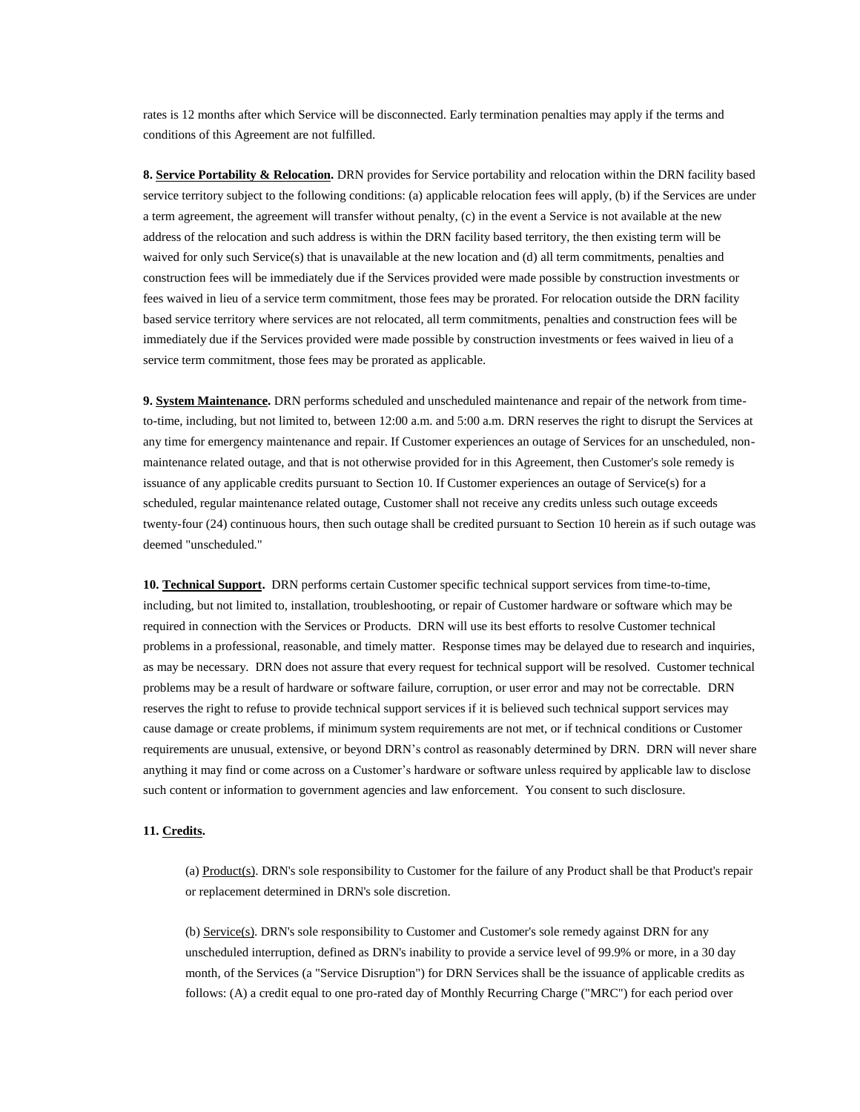rates is 12 months after which Service will be disconnected. Early termination penalties may apply if the terms and conditions of this Agreement are not fulfilled.

**8. Service Portability & Relocation.** DRN provides for Service portability and relocation within the DRN facility based service territory subject to the following conditions: (a) applicable relocation fees will apply, (b) if the Services are under a term agreement, the agreement will transfer without penalty, (c) in the event a Service is not available at the new address of the relocation and such address is within the DRN facility based territory, the then existing term will be waived for only such Service(s) that is unavailable at the new location and (d) all term commitments, penalties and construction fees will be immediately due if the Services provided were made possible by construction investments or fees waived in lieu of a service term commitment, those fees may be prorated. For relocation outside the DRN facility based service territory where services are not relocated, all term commitments, penalties and construction fees will be immediately due if the Services provided were made possible by construction investments or fees waived in lieu of a service term commitment, those fees may be prorated as applicable.

**9. System Maintenance.** DRN performs scheduled and unscheduled maintenance and repair of the network from timeto-time, including, but not limited to, between 12:00 a.m. and 5:00 a.m. DRN reserves the right to disrupt the Services at any time for emergency maintenance and repair. If Customer experiences an outage of Services for an unscheduled, nonmaintenance related outage, and that is not otherwise provided for in this Agreement, then Customer's sole remedy is issuance of any applicable credits pursuant to Section 10. If Customer experiences an outage of Service(s) for a scheduled, regular maintenance related outage, Customer shall not receive any credits unless such outage exceeds twenty-four (24) continuous hours, then such outage shall be credited pursuant to Section 10 herein as if such outage was deemed "unscheduled."

**10. Technical Support.** DRN performs certain Customer specific technical support services from time-to-time, including, but not limited to, installation, troubleshooting, or repair of Customer hardware or software which may be required in connection with the Services or Products. DRN will use its best efforts to resolve Customer technical problems in a professional, reasonable, and timely matter. Response times may be delayed due to research and inquiries, as may be necessary. DRN does not assure that every request for technical support will be resolved. Customer technical problems may be a result of hardware or software failure, corruption, or user error and may not be correctable. DRN reserves the right to refuse to provide technical support services if it is believed such technical support services may cause damage or create problems, if minimum system requirements are not met, or if technical conditions or Customer requirements are unusual, extensive, or beyond DRN's control as reasonably determined by DRN. DRN will never share anything it may find or come across on a Customer's hardware or software unless required by applicable law to disclose such content or information to government agencies and law enforcement. You consent to such disclosure.

### **11. Credits.**

(a) Product(s). DRN's sole responsibility to Customer for the failure of any Product shall be that Product's repair or replacement determined in DRN's sole discretion.

(b) Service(s). DRN's sole responsibility to Customer and Customer's sole remedy against DRN for any unscheduled interruption, defined as DRN's inability to provide a service level of 99.9% or more, in a 30 day month, of the Services (a "Service Disruption") for DRN Services shall be the issuance of applicable credits as follows: (A) a credit equal to one pro-rated day of Monthly Recurring Charge ("MRC") for each period over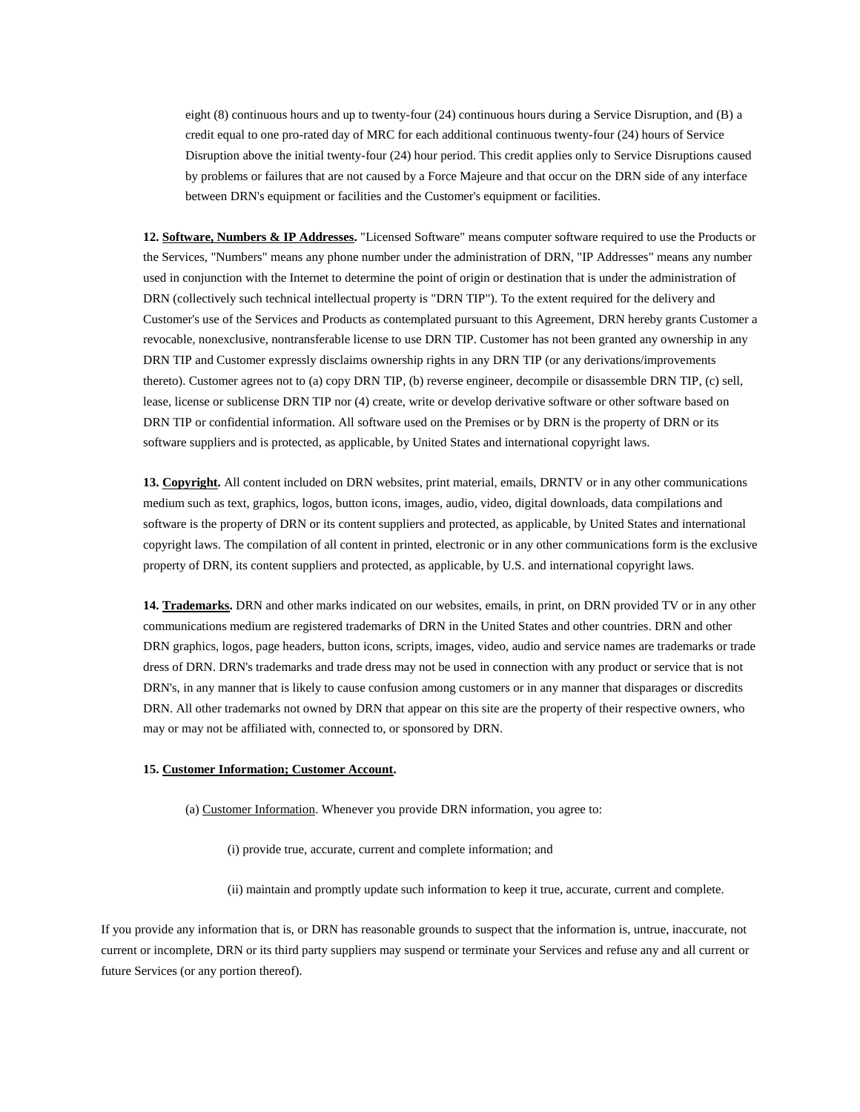eight (8) continuous hours and up to twenty-four (24) continuous hours during a Service Disruption, and (B) a credit equal to one pro-rated day of MRC for each additional continuous twenty-four (24) hours of Service Disruption above the initial twenty-four (24) hour period. This credit applies only to Service Disruptions caused by problems or failures that are not caused by a Force Majeure and that occur on the DRN side of any interface between DRN's equipment or facilities and the Customer's equipment or facilities.

**12. Software, Numbers & IP Addresses.** "Licensed Software" means computer software required to use the Products or the Services, "Numbers" means any phone number under the administration of DRN, "IP Addresses" means any number used in conjunction with the Internet to determine the point of origin or destination that is under the administration of DRN (collectively such technical intellectual property is "DRN TIP"). To the extent required for the delivery and Customer's use of the Services and Products as contemplated pursuant to this Agreement, DRN hereby grants Customer a revocable, nonexclusive, nontransferable license to use DRN TIP. Customer has not been granted any ownership in any DRN TIP and Customer expressly disclaims ownership rights in any DRN TIP (or any derivations/improvements thereto). Customer agrees not to (a) copy DRN TIP, (b) reverse engineer, decompile or disassemble DRN TIP, (c) sell, lease, license or sublicense DRN TIP nor (4) create, write or develop derivative software or other software based on DRN TIP or confidential information. All software used on the Premises or by DRN is the property of DRN or its software suppliers and is protected, as applicable, by United States and international copyright laws.

**13. Copyright.** All content included on DRN websites, print material, emails, DRNTV or in any other communications medium such as text, graphics, logos, button icons, images, audio, video, digital downloads, data compilations and software is the property of DRN or its content suppliers and protected, as applicable, by United States and international copyright laws. The compilation of all content in printed, electronic or in any other communications form is the exclusive property of DRN, its content suppliers and protected, as applicable, by U.S. and international copyright laws.

**14. Trademarks.** DRN and other marks indicated on our websites, emails, in print, on DRN provided TV or in any other communications medium are registered trademarks of DRN in the United States and other countries. DRN and other DRN graphics, logos, page headers, button icons, scripts, images, video, audio and service names are trademarks or trade dress of DRN. DRN's trademarks and trade dress may not be used in connection with any product or service that is not DRN's, in any manner that is likely to cause confusion among customers or in any manner that disparages or discredits DRN. All other trademarks not owned by DRN that appear on this site are the property of their respective owners, who may or may not be affiliated with, connected to, or sponsored by DRN.

## **15. Customer Information; Customer Account.**

#### (a) Customer Information. Whenever you provide DRN information, you agree to:

(i) provide true, accurate, current and complete information; and

(ii) maintain and promptly update such information to keep it true, accurate, current and complete.

If you provide any information that is, or DRN has reasonable grounds to suspect that the information is, untrue, inaccurate, not current or incomplete, DRN or its third party suppliers may suspend or terminate your Services and refuse any and all current or future Services (or any portion thereof).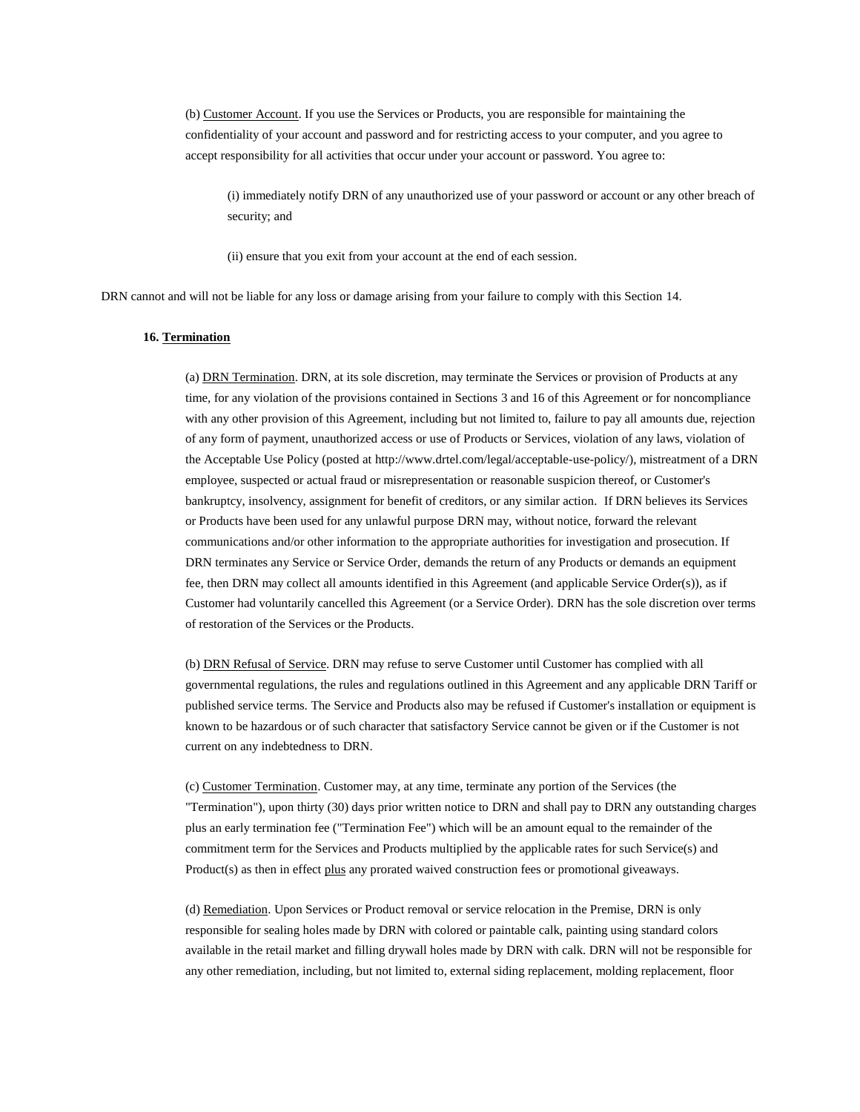(b) Customer Account. If you use the Services or Products, you are responsible for maintaining the confidentiality of your account and password and for restricting access to your computer, and you agree to accept responsibility for all activities that occur under your account or password. You agree to:

(i) immediately notify DRN of any unauthorized use of your password or account or any other breach of security; and

(ii) ensure that you exit from your account at the end of each session.

DRN cannot and will not be liable for any loss or damage arising from your failure to comply with this Section 14.

#### **16. Termination**

(a) DRN Termination. DRN, at its sole discretion, may terminate the Services or provision of Products at any time, for any violation of the provisions contained in Sections 3 and 16 of this Agreement or for noncompliance with any other provision of this Agreement, including but not limited to, failure to pay all amounts due, rejection of any form of payment, unauthorized access or use of Products or Services, violation of any laws, violation of the Acceptable Use Policy (posted at http://www.drtel.com/legal/acceptable-use-policy/), mistreatment of a DRN employee, suspected or actual fraud or misrepresentation or reasonable suspicion thereof, or Customer's bankruptcy, insolvency, assignment for benefit of creditors, or any similar action. If DRN believes its Services or Products have been used for any unlawful purpose DRN may, without notice, forward the relevant communications and/or other information to the appropriate authorities for investigation and prosecution. If DRN terminates any Service or Service Order, demands the return of any Products or demands an equipment fee, then DRN may collect all amounts identified in this Agreement (and applicable Service Order(s)), as if Customer had voluntarily cancelled this Agreement (or a Service Order). DRN has the sole discretion over terms of restoration of the Services or the Products.

(b) DRN Refusal of Service. DRN may refuse to serve Customer until Customer has complied with all governmental regulations, the rules and regulations outlined in this Agreement and any applicable DRN Tariff or published service terms. The Service and Products also may be refused if Customer's installation or equipment is known to be hazardous or of such character that satisfactory Service cannot be given or if the Customer is not current on any indebtedness to DRN.

(c) Customer Termination. Customer may, at any time, terminate any portion of the Services (the "Termination"), upon thirty (30) days prior written notice to DRN and shall pay to DRN any outstanding charges plus an early termination fee ("Termination Fee") which will be an amount equal to the remainder of the commitment term for the Services and Products multiplied by the applicable rates for such Service(s) and Product(s) as then in effect plus any prorated waived construction fees or promotional giveaways.

(d) Remediation. Upon Services or Product removal or service relocation in the Premise, DRN is only responsible for sealing holes made by DRN with colored or paintable calk, painting using standard colors available in the retail market and filling drywall holes made by DRN with calk. DRN will not be responsible for any other remediation, including, but not limited to, external siding replacement, molding replacement, floor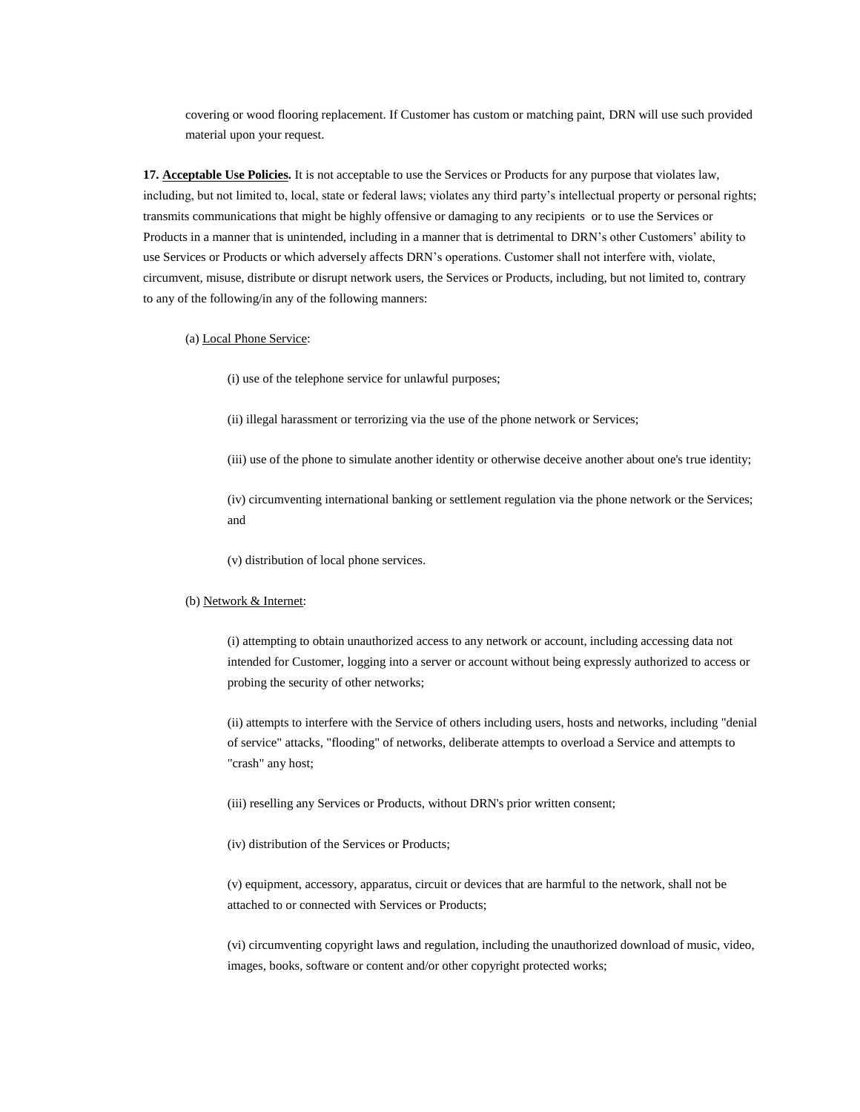covering or wood flooring replacement. If Customer has custom or matching paint, DRN will use such provided material upon your request.

**17. Acceptable Use Policies.** It is not acceptable to use the Services or Products for any purpose that violates law, including, but not limited to, local, state or federal laws; violates any third party's intellectual property or personal rights; transmits communications that might be highly offensive or damaging to any recipients or to use the Services or Products in a manner that is unintended, including in a manner that is detrimental to DRN's other Customers' ability to use Services or Products or which adversely affects DRN's operations. Customer shall not interfere with, violate, circumvent, misuse, distribute or disrupt network users, the Services or Products, including, but not limited to, contrary to any of the following/in any of the following manners:

#### (a) Local Phone Service:

(i) use of the telephone service for unlawful purposes;

- (ii) illegal harassment or terrorizing via the use of the phone network or Services;
- (iii) use of the phone to simulate another identity or otherwise deceive another about one's true identity;

(iv) circumventing international banking or settlement regulation via the phone network or the Services; and

(v) distribution of local phone services.

#### (b) Network & Internet:

(i) attempting to obtain unauthorized access to any network or account, including accessing data not intended for Customer, logging into a server or account without being expressly authorized to access or probing the security of other networks;

(ii) attempts to interfere with the Service of others including users, hosts and networks, including "denial of service" attacks, "flooding" of networks, deliberate attempts to overload a Service and attempts to "crash" any host;

(iii) reselling any Services or Products, without DRN's prior written consent;

(iv) distribution of the Services or Products;

(v) equipment, accessory, apparatus, circuit or devices that are harmful to the network, shall not be attached to or connected with Services or Products;

(vi) circumventing copyright laws and regulation, including the unauthorized download of music, video, images, books, software or content and/or other copyright protected works;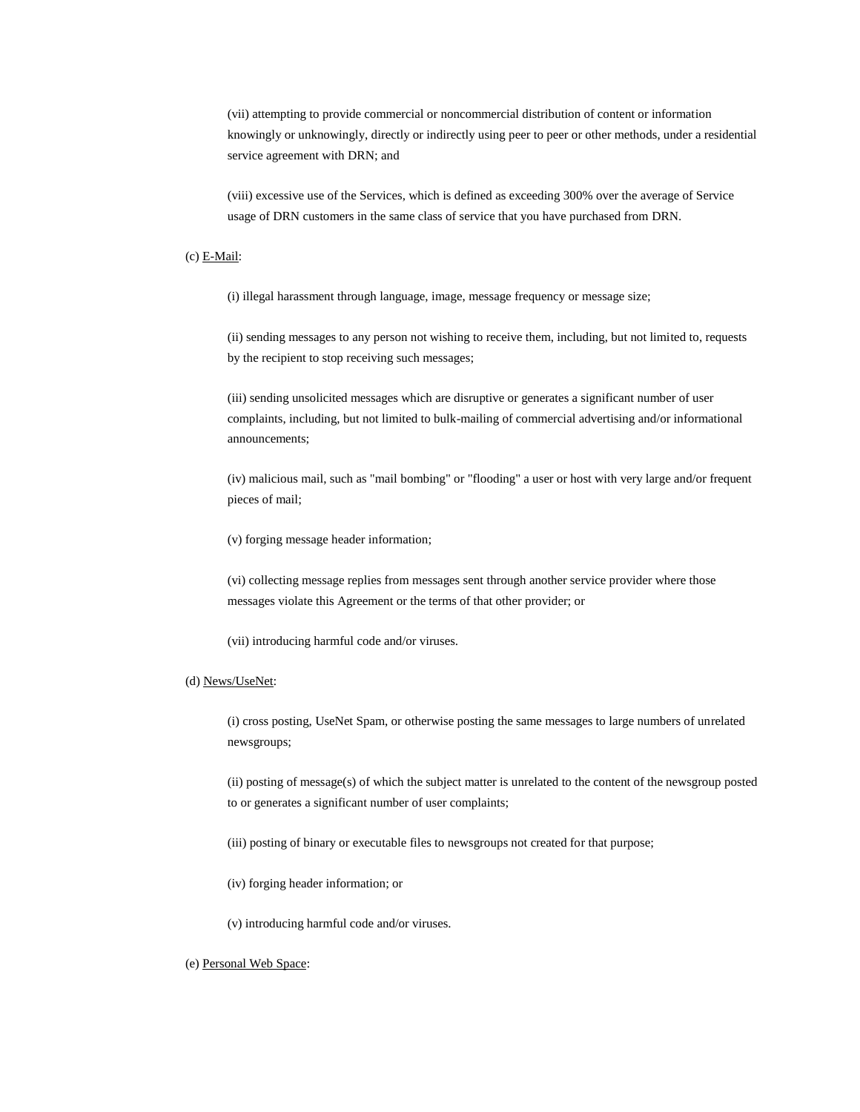(vii) attempting to provide commercial or noncommercial distribution of content or information knowingly or unknowingly, directly or indirectly using peer to peer or other methods, under a residential service agreement with DRN; and

(viii) excessive use of the Services, which is defined as exceeding 300% over the average of Service usage of DRN customers in the same class of service that you have purchased from DRN.

## (c) E-Mail:

(i) illegal harassment through language, image, message frequency or message size;

(ii) sending messages to any person not wishing to receive them, including, but not limited to, requests by the recipient to stop receiving such messages;

(iii) sending unsolicited messages which are disruptive or generates a significant number of user complaints, including, but not limited to bulk-mailing of commercial advertising and/or informational announcements;

(iv) malicious mail, such as "mail bombing" or "flooding" a user or host with very large and/or frequent pieces of mail;

(v) forging message header information;

(vi) collecting message replies from messages sent through another service provider where those messages violate this Agreement or the terms of that other provider; or

(vii) introducing harmful code and/or viruses.

## (d) News/UseNet:

(i) cross posting, UseNet Spam, or otherwise posting the same messages to large numbers of unrelated newsgroups;

(ii) posting of message(s) of which the subject matter is unrelated to the content of the newsgroup posted to or generates a significant number of user complaints;

(iii) posting of binary or executable files to newsgroups not created for that purpose;

(iv) forging header information; or

(v) introducing harmful code and/or viruses.

# (e) Personal Web Space: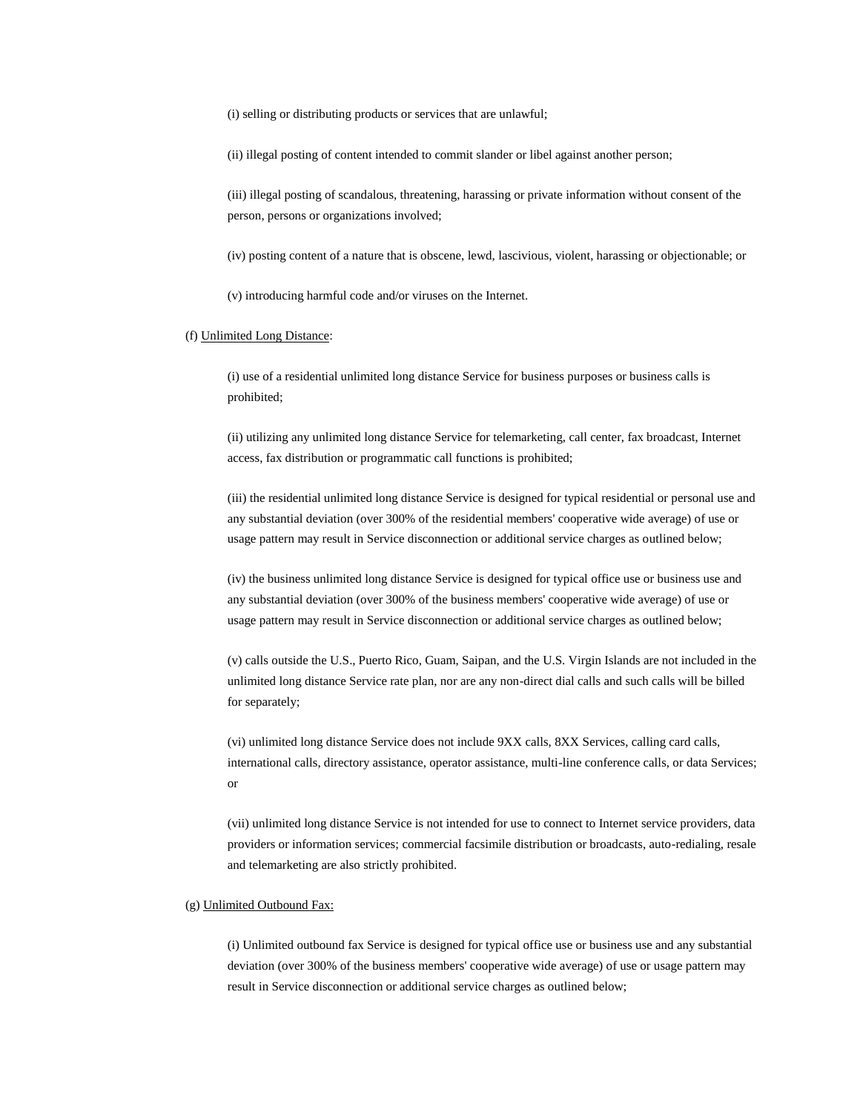(i) selling or distributing products or services that are unlawful;

(ii) illegal posting of content intended to commit slander or libel against another person;

(iii) illegal posting of scandalous, threatening, harassing or private information without consent of the person, persons or organizations involved;

(iv) posting content of a nature that is obscene, lewd, lascivious, violent, harassing or objectionable; or

(v) introducing harmful code and/or viruses on the Internet.

#### (f) Unlimited Long Distance:

(i) use of a residential unlimited long distance Service for business purposes or business calls is prohibited;

(ii) utilizing any unlimited long distance Service for telemarketing, call center, fax broadcast, Internet access, fax distribution or programmatic call functions is prohibited;

(iii) the residential unlimited long distance Service is designed for typical residential or personal use and any substantial deviation (over 300% of the residential members' cooperative wide average) of use or usage pattern may result in Service disconnection or additional service charges as outlined below;

(iv) the business unlimited long distance Service is designed for typical office use or business use and any substantial deviation (over 300% of the business members' cooperative wide average) of use or usage pattern may result in Service disconnection or additional service charges as outlined below;

(v) calls outside the U.S., Puerto Rico, Guam, Saipan, and the U.S. Virgin Islands are not included in the unlimited long distance Service rate plan, nor are any non-direct dial calls and such calls will be billed for separately;

(vi) unlimited long distance Service does not include 9XX calls, 8XX Services, calling card calls, international calls, directory assistance, operator assistance, multi-line conference calls, or data Services; or

(vii) unlimited long distance Service is not intended for use to connect to Internet service providers, data providers or information services; commercial facsimile distribution or broadcasts, auto-redialing, resale and telemarketing are also strictly prohibited.

# (g) Unlimited Outbound Fax:

(i) Unlimited outbound fax Service is designed for typical office use or business use and any substantial deviation (over 300% of the business members' cooperative wide average) of use or usage pattern may result in Service disconnection or additional service charges as outlined below;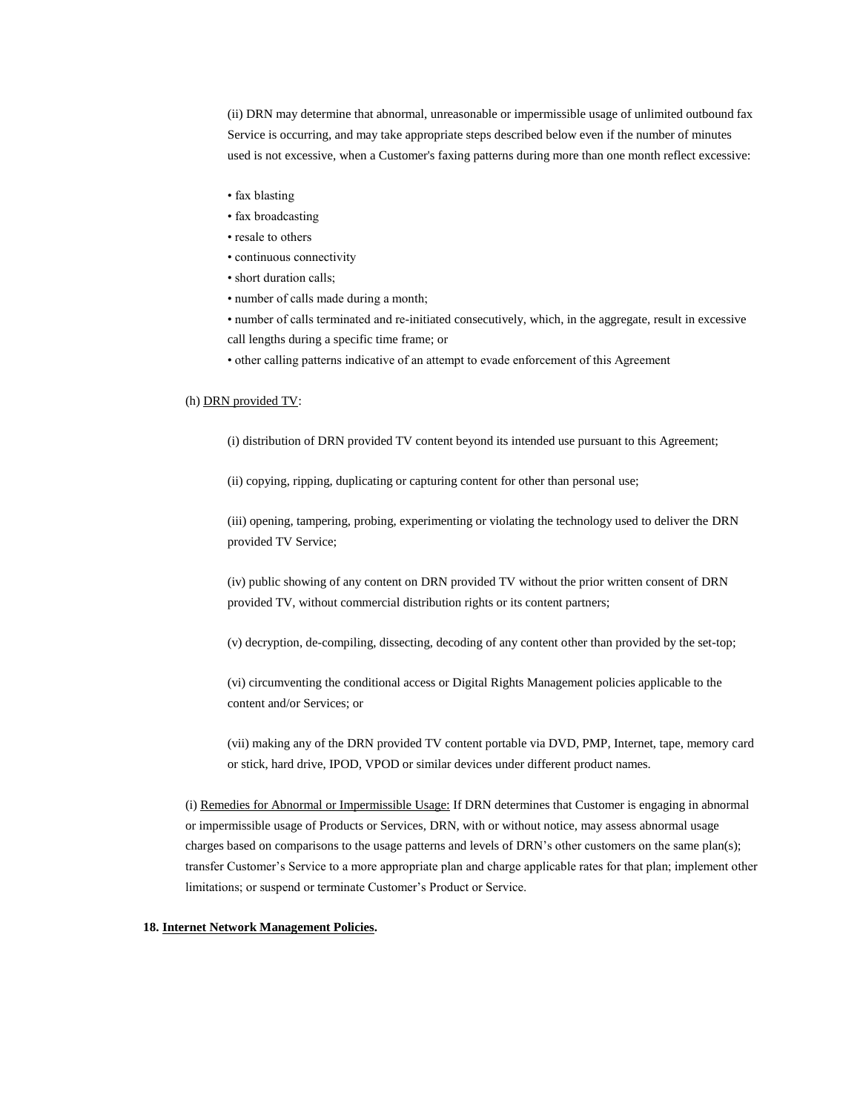(ii) DRN may determine that abnormal, unreasonable or impermissible usage of unlimited outbound fax Service is occurring, and may take appropriate steps described below even if the number of minutes used is not excessive, when a Customer's faxing patterns during more than one month reflect excessive:

- fax blasting
- fax broadcasting
- resale to others
- continuous connectivity
- short duration calls;
- number of calls made during a month;

• number of calls terminated and re-initiated consecutively, which, in the aggregate, result in excessive call lengths during a specific time frame; or

- other calling patterns indicative of an attempt to evade enforcement of this Agreement
- (h) DRN provided TV:
	- (i) distribution of DRN provided TV content beyond its intended use pursuant to this Agreement;

(ii) copying, ripping, duplicating or capturing content for other than personal use;

(iii) opening, tampering, probing, experimenting or violating the technology used to deliver the DRN provided TV Service;

(iv) public showing of any content on DRN provided TV without the prior written consent of DRN provided TV, without commercial distribution rights or its content partners;

(v) decryption, de-compiling, dissecting, decoding of any content other than provided by the set-top;

(vi) circumventing the conditional access or Digital Rights Management policies applicable to the content and/or Services; or

(vii) making any of the DRN provided TV content portable via DVD, PMP, Internet, tape, memory card or stick, hard drive, IPOD, VPOD or similar devices under different product names.

(i) Remedies for Abnormal or Impermissible Usage: If DRN determines that Customer is engaging in abnormal or impermissible usage of Products or Services, DRN, with or without notice, may assess abnormal usage charges based on comparisons to the usage patterns and levels of DRN's other customers on the same plan(s); transfer Customer's Service to a more appropriate plan and charge applicable rates for that plan; implement other limitations; or suspend or terminate Customer's Product or Service.

## **18. Internet Network Management Policies.**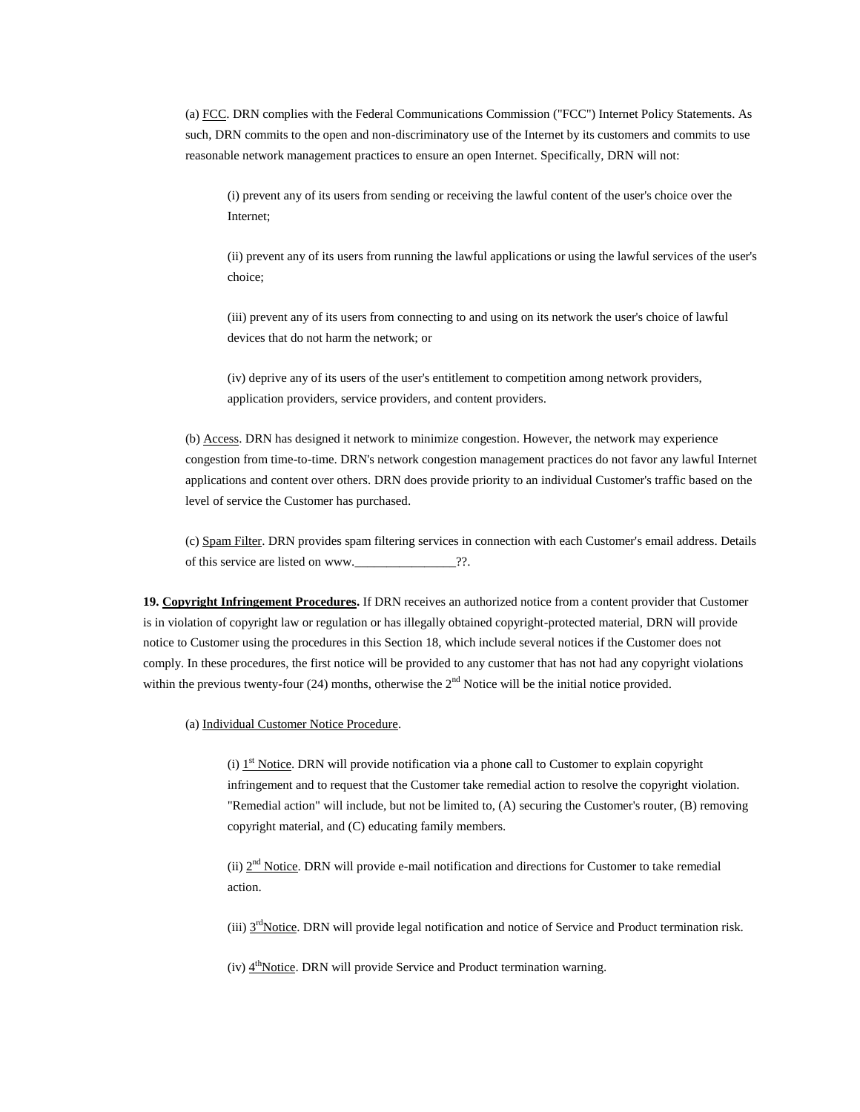(a) FCC. DRN complies with the Federal Communications Commission ("FCC") Internet Policy Statements. As such, DRN commits to the open and non-discriminatory use of the Internet by its customers and commits to use reasonable network management practices to ensure an open Internet. Specifically, DRN will not:

(i) prevent any of its users from sending or receiving the lawful content of the user's choice over the Internet;

(ii) prevent any of its users from running the lawful applications or using the lawful services of the user's choice;

(iii) prevent any of its users from connecting to and using on its network the user's choice of lawful devices that do not harm the network; or

(iv) deprive any of its users of the user's entitlement to competition among network providers, application providers, service providers, and content providers.

(b) Access. DRN has designed it network to minimize congestion. However, the network may experience congestion from time-to-time. DRN's network congestion management practices do not favor any lawful Internet applications and content over others. DRN does provide priority to an individual Customer's traffic based on the level of service the Customer has purchased.

(c) Spam Filter. DRN provides spam filtering services in connection with each Customer's email address. Details of this service are listed on www.\_\_\_\_\_\_\_\_\_\_\_\_\_\_\_\_??.

**19. Copyright Infringement Procedures.** If DRN receives an authorized notice from a content provider that Customer is in violation of copyright law or regulation or has illegally obtained copyright-protected material, DRN will provide notice to Customer using the procedures in this Section 18, which include several notices if the Customer does not comply. In these procedures, the first notice will be provided to any customer that has not had any copyright violations within the previous twenty-four  $(24)$  months, otherwise the  $2<sup>nd</sup>$  Notice will be the initial notice provided.

(a) Individual Customer Notice Procedure.

(i)  $1<sup>st</sup> Notice. DRN will provide notification via a phone call to Customer to explain copyright$ infringement and to request that the Customer take remedial action to resolve the copyright violation. "Remedial action" will include, but not be limited to, (A) securing the Customer's router, (B) removing copyright material, and (C) educating family members.

(ii)  $2<sup>nd</sup> Notice. DRN will provide e-mail notification and directions for Customer to take remedial$ action.

(iii)  $3<sup>rd</sup>Notice$ . DRN will provide legal notification and notice of Service and Product termination risk.

(iv)  $4^{\text{th}}$ Notice. DRN will provide Service and Product termination warning.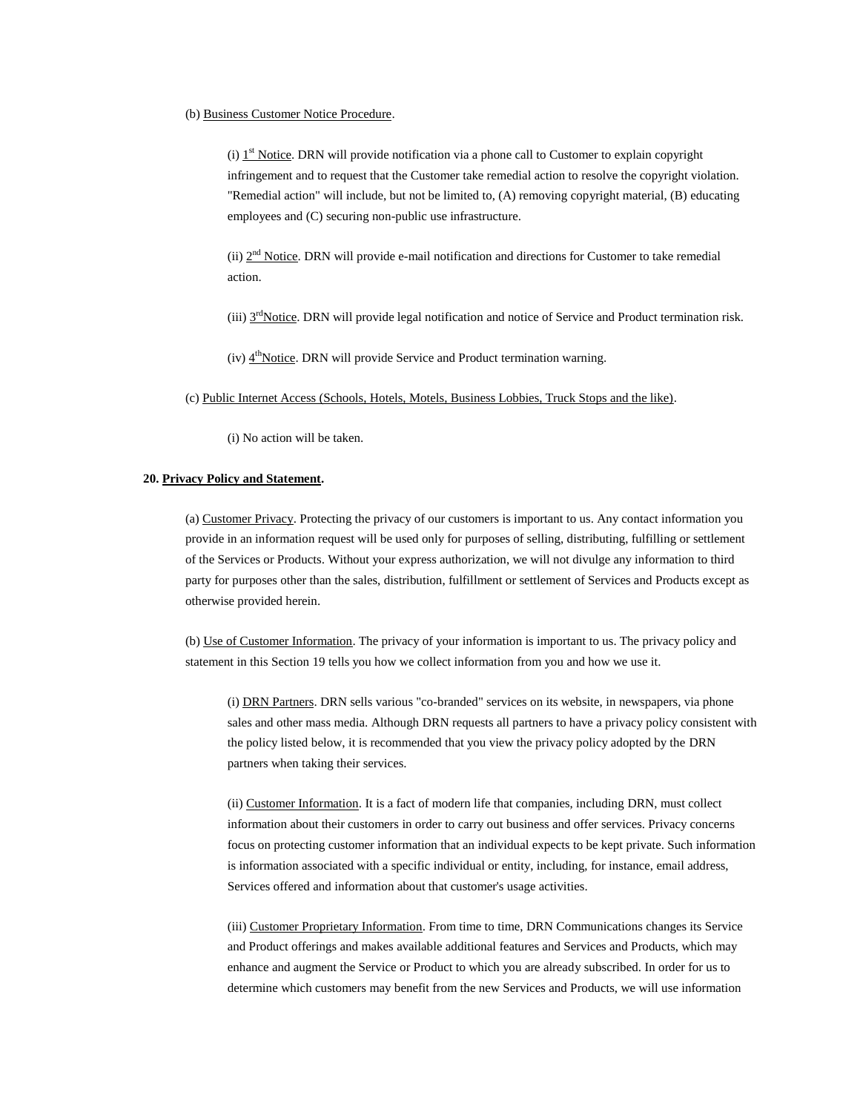## (b) Business Customer Notice Procedure.

(i)  $1<sup>st</sup> Notice. DRN will provide notification via a phone call to Customer to explain copyright$ infringement and to request that the Customer take remedial action to resolve the copyright violation. "Remedial action" will include, but not be limited to, (A) removing copyright material, (B) educating employees and (C) securing non-public use infrastructure.

(ii)  $2<sup>nd</sup> Notice. DRN will provide e-mail notification and directions for Customer to take remedial$ action.

(iii) 3<sup>rd</sup>Notice. DRN will provide legal notification and notice of Service and Product termination risk.

(iv)  $4<sup>th</sup>Notice$ . DRN will provide Service and Product termination warning.

(c) Public Internet Access (Schools, Hotels, Motels, Business Lobbies, Truck Stops and the like).

(i) No action will be taken.

## **20. Privacy Policy and Statement.**

(a) Customer Privacy. Protecting the privacy of our customers is important to us. Any contact information you provide in an information request will be used only for purposes of selling, distributing, fulfilling or settlement of the Services or Products. Without your express authorization, we will not divulge any information to third party for purposes other than the sales, distribution, fulfillment or settlement of Services and Products except as otherwise provided herein.

(b) Use of Customer Information. The privacy of your information is important to us. The privacy policy and statement in this Section 19 tells you how we collect information from you and how we use it.

(i) DRN Partners. DRN sells various "co-branded" services on its website, in newspapers, via phone sales and other mass media. Although DRN requests all partners to have a privacy policy consistent with the policy listed below, it is recommended that you view the privacy policy adopted by the DRN partners when taking their services.

(ii) Customer Information. It is a fact of modern life that companies, including DRN, must collect information about their customers in order to carry out business and offer services. Privacy concerns focus on protecting customer information that an individual expects to be kept private. Such information is information associated with a specific individual or entity, including, for instance, email address, Services offered and information about that customer's usage activities.

(iii) Customer Proprietary Information. From time to time, DRN Communications changes its Service and Product offerings and makes available additional features and Services and Products, which may enhance and augment the Service or Product to which you are already subscribed. In order for us to determine which customers may benefit from the new Services and Products, we will use information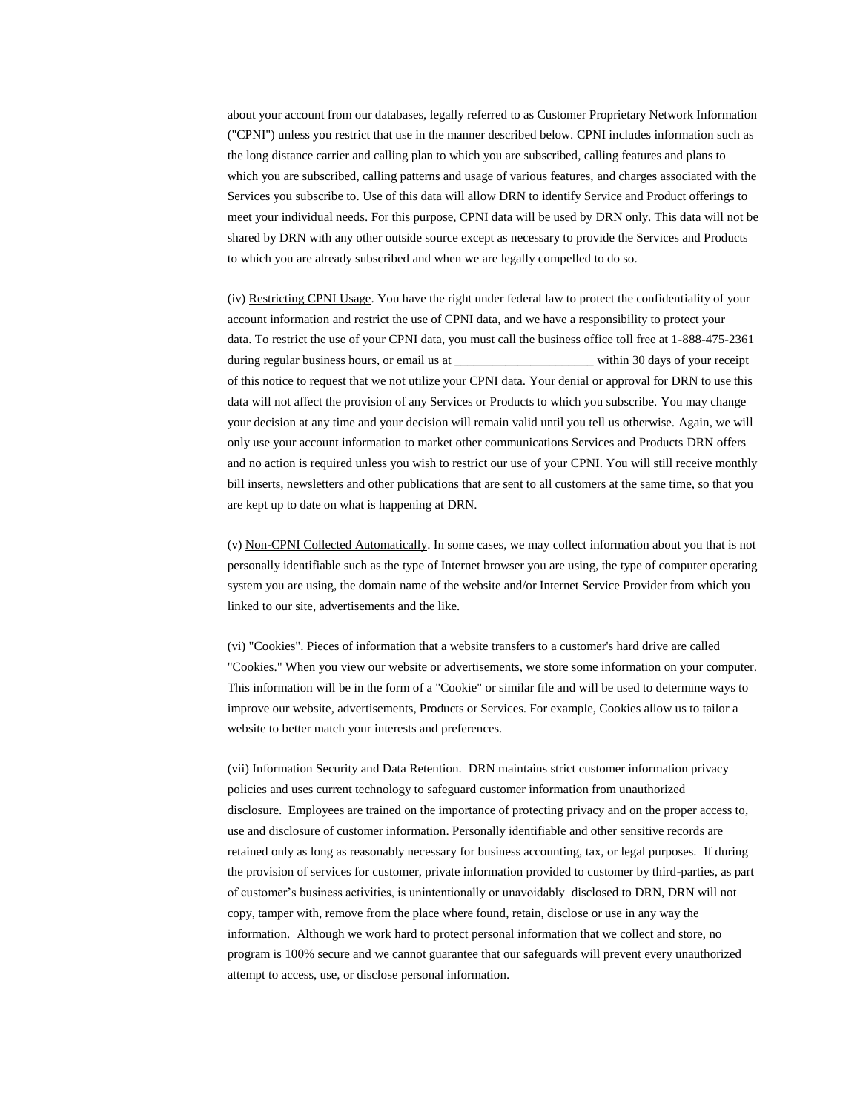about your account from our databases, legally referred to as Customer Proprietary Network Information ("CPNI") unless you restrict that use in the manner described below. CPNI includes information such as the long distance carrier and calling plan to which you are subscribed, calling features and plans to which you are subscribed, calling patterns and usage of various features, and charges associated with the Services you subscribe to. Use of this data will allow DRN to identify Service and Product offerings to meet your individual needs. For this purpose, CPNI data will be used by DRN only. This data will not be shared by DRN with any other outside source except as necessary to provide the Services and Products to which you are already subscribed and when we are legally compelled to do so.

(iv) Restricting CPNI Usage. You have the right under federal law to protect the confidentiality of your account information and restrict the use of CPNI data, and we have a responsibility to protect your data. To restrict the use of your CPNI data, you must call the business office toll free at 1-888-475-2361 during regular business hours, or email us at \_\_\_\_\_\_\_\_\_\_\_\_\_\_\_\_\_\_\_\_\_\_\_\_\_\_\_\_ within 30 days of your receipt of this notice to request that we not utilize your CPNI data. Your denial or approval for DRN to use this data will not affect the provision of any Services or Products to which you subscribe. You may change your decision at any time and your decision will remain valid until you tell us otherwise. Again, we will only use your account information to market other communications Services and Products DRN offers and no action is required unless you wish to restrict our use of your CPNI. You will still receive monthly bill inserts, newsletters and other publications that are sent to all customers at the same time, so that you are kept up to date on what is happening at DRN.

(v) Non-CPNI Collected Automatically. In some cases, we may collect information about you that is not personally identifiable such as the type of Internet browser you are using, the type of computer operating system you are using, the domain name of the website and/or Internet Service Provider from which you linked to our site, advertisements and the like.

(vi) "Cookies". Pieces of information that a website transfers to a customer's hard drive are called "Cookies." When you view our website or advertisements, we store some information on your computer. This information will be in the form of a "Cookie" or similar file and will be used to determine ways to improve our website, advertisements, Products or Services. For example, Cookies allow us to tailor a website to better match your interests and preferences.

(vii) Information Security and Data Retention. DRN maintains strict customer information privacy policies and uses current technology to safeguard customer information from unauthorized disclosure. Employees are trained on the importance of protecting privacy and on the proper access to, use and disclosure of customer information. Personally identifiable and other sensitive records are retained only as long as reasonably necessary for business accounting, tax, or legal purposes. If during the provision of services for customer, private information provided to customer by third-parties, as part of customer's business activities, is unintentionally or unavoidably disclosed to DRN, DRN will not copy, tamper with, remove from the place where found, retain, disclose or use in any way the information. Although we work hard to protect personal information that we collect and store, no program is 100% secure and we cannot guarantee that our safeguards will prevent every unauthorized attempt to access, use, or disclose personal information.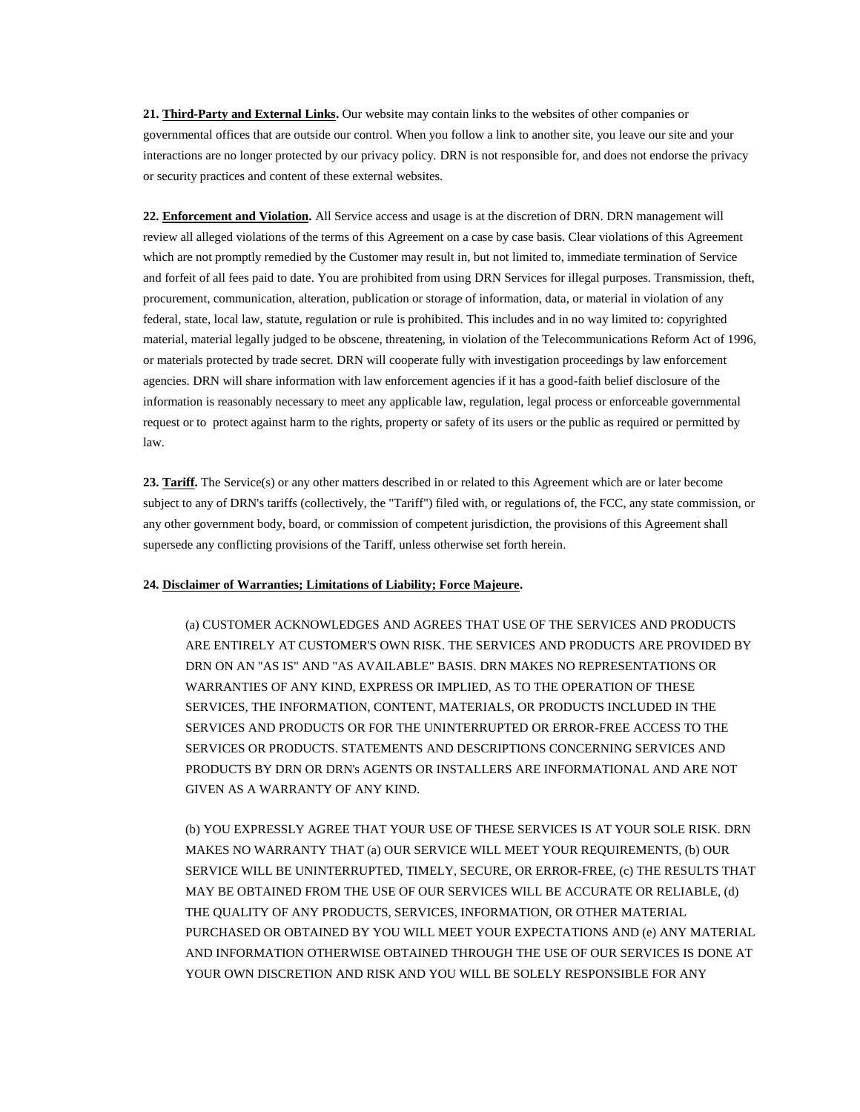**21. Third-Party and External Links.** Our website may contain links to the websites of other companies or governmental offices that are outside our control. When you follow a link to another site, you leave our site and your interactions are no longer protected by our privacy policy. DRN is not responsible for, and does not endorse the privacy or security practices and content of these external websites.

**22. Enforcement and Violation.** All Service access and usage is at the discretion of DRN. DRN management will review all alleged violations of the terms of this Agreement on a case by case basis. Clear violations of this Agreement which are not promptly remedied by the Customer may result in, but not limited to, immediate termination of Service and forfeit of all fees paid to date. You are prohibited from using DRN Services for illegal purposes. Transmission, theft, procurement, communication, alteration, publication or storage of information, data, or material in violation of any federal, state, local law, statute, regulation or rule is prohibited. This includes and in no way limited to: copyrighted material, material legally judged to be obscene, threatening, in violation of the Telecommunications Reform Act of 1996, or materials protected by trade secret. DRN will cooperate fully with investigation proceedings by law enforcement agencies. DRN will share information with law enforcement agencies if it has a good-faith belief disclosure of the information is reasonably necessary to meet any applicable law, regulation, legal process or enforceable governmental request or to protect against harm to the rights, property or safety of its users or the public as required or permitted by law.

**23. Tariff.** The Service(s) or any other matters described in or related to this Agreement which are or later become subject to any of DRN's tariffs (collectively, the "Tariff") filed with, or regulations of, the FCC, any state commission, or any other government body, board, or commission of competent jurisdiction, the provisions of this Agreement shall supersede any conflicting provisions of the Tariff, unless otherwise set forth herein.

# **24. Disclaimer of Warranties; Limitations of Liability; Force Majeure.**

(a) CUSTOMER ACKNOWLEDGES AND AGREES THAT USE OF THE SERVICES AND PRODUCTS ARE ENTIRELY AT CUSTOMER'S OWN RISK. THE SERVICES AND PRODUCTS ARE PROVIDED BY DRN ON AN "AS IS" AND "AS AVAILABLE" BASIS. DRN MAKES NO REPRESENTATIONS OR WARRANTIES OF ANY KIND, EXPRESS OR IMPLIED, AS TO THE OPERATION OF THESE SERVICES, THE INFORMATION, CONTENT, MATERIALS, OR PRODUCTS INCLUDED IN THE SERVICES AND PRODUCTS OR FOR THE UNINTERRUPTED OR ERROR-FREE ACCESS TO THE SERVICES OR PRODUCTS. STATEMENTS AND DESCRIPTIONS CONCERNING SERVICES AND PRODUCTS BY DRN OR DRN's AGENTS OR INSTALLERS ARE INFORMATIONAL AND ARE NOT GIVEN AS A WARRANTY OF ANY KIND.

(b) YOU EXPRESSLY AGREE THAT YOUR USE OF THESE SERVICES IS AT YOUR SOLE RISK. DRN MAKES NO WARRANTY THAT (a) OUR SERVICE WILL MEET YOUR REQUIREMENTS, (b) OUR SERVICE WILL BE UNINTERRUPTED, TIMELY, SECURE, OR ERROR-FREE, (c) THE RESULTS THAT MAY BE OBTAINED FROM THE USE OF OUR SERVICES WILL BE ACCURATE OR RELIABLE, (d) THE QUALITY OF ANY PRODUCTS, SERVICES, INFORMATION, OR OTHER MATERIAL PURCHASED OR OBTAINED BY YOU WILL MEET YOUR EXPECTATIONS AND (e) ANY MATERIAL AND INFORMATION OTHERWISE OBTAINED THROUGH THE USE OF OUR SERVICES IS DONE AT YOUR OWN DISCRETION AND RISK AND YOU WILL BE SOLELY RESPONSIBLE FOR ANY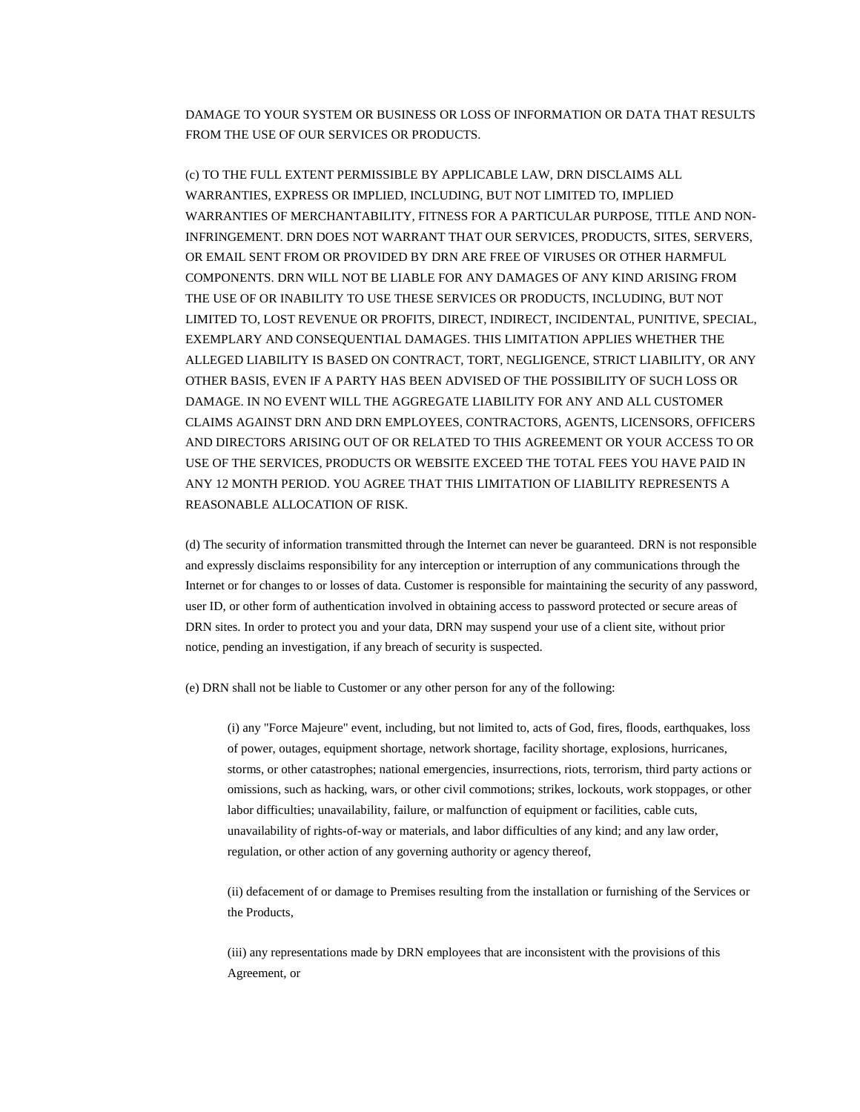DAMAGE TO YOUR SYSTEM OR BUSINESS OR LOSS OF INFORMATION OR DATA THAT RESULTS FROM THE USE OF OUR SERVICES OR PRODUCTS.

(c) TO THE FULL EXTENT PERMISSIBLE BY APPLICABLE LAW, DRN DISCLAIMS ALL WARRANTIES, EXPRESS OR IMPLIED, INCLUDING, BUT NOT LIMITED TO, IMPLIED WARRANTIES OF MERCHANTABILITY, FITNESS FOR A PARTICULAR PURPOSE, TITLE AND NON-INFRINGEMENT. DRN DOES NOT WARRANT THAT OUR SERVICES, PRODUCTS, SITES, SERVERS, OR EMAIL SENT FROM OR PROVIDED BY DRN ARE FREE OF VIRUSES OR OTHER HARMFUL COMPONENTS. DRN WILL NOT BE LIABLE FOR ANY DAMAGES OF ANY KIND ARISING FROM THE USE OF OR INABILITY TO USE THESE SERVICES OR PRODUCTS, INCLUDING, BUT NOT LIMITED TO, LOST REVENUE OR PROFITS, DIRECT, INDIRECT, INCIDENTAL, PUNITIVE, SPECIAL, EXEMPLARY AND CONSEQUENTIAL DAMAGES. THIS LIMITATION APPLIES WHETHER THE ALLEGED LIABILITY IS BASED ON CONTRACT, TORT, NEGLIGENCE, STRICT LIABILITY, OR ANY OTHER BASIS, EVEN IF A PARTY HAS BEEN ADVISED OF THE POSSIBILITY OF SUCH LOSS OR DAMAGE. IN NO EVENT WILL THE AGGREGATE LIABILITY FOR ANY AND ALL CUSTOMER CLAIMS AGAINST DRN AND DRN EMPLOYEES, CONTRACTORS, AGENTS, LICENSORS, OFFICERS AND DIRECTORS ARISING OUT OF OR RELATED TO THIS AGREEMENT OR YOUR ACCESS TO OR USE OF THE SERVICES, PRODUCTS OR WEBSITE EXCEED THE TOTAL FEES YOU HAVE PAID IN ANY 12 MONTH PERIOD. YOU AGREE THAT THIS LIMITATION OF LIABILITY REPRESENTS A REASONABLE ALLOCATION OF RISK.

(d) The security of information transmitted through the Internet can never be guaranteed. DRN is not responsible and expressly disclaims responsibility for any interception or interruption of any communications through the Internet or for changes to or losses of data. Customer is responsible for maintaining the security of any password, user ID, or other form of authentication involved in obtaining access to password protected or secure areas of DRN sites. In order to protect you and your data, DRN may suspend your use of a client site, without prior notice, pending an investigation, if any breach of security is suspected.

(e) DRN shall not be liable to Customer or any other person for any of the following:

(i) any "Force Majeure" event, including, but not limited to, acts of God, fires, floods, earthquakes, loss of power, outages, equipment shortage, network shortage, facility shortage, explosions, hurricanes, storms, or other catastrophes; national emergencies, insurrections, riots, terrorism, third party actions or omissions, such as hacking, wars, or other civil commotions; strikes, lockouts, work stoppages, or other labor difficulties; unavailability, failure, or malfunction of equipment or facilities, cable cuts, unavailability of rights-of-way or materials, and labor difficulties of any kind; and any law order, regulation, or other action of any governing authority or agency thereof,

(ii) defacement of or damage to Premises resulting from the installation or furnishing of the Services or the Products,

(iii) any representations made by DRN employees that are inconsistent with the provisions of this Agreement, or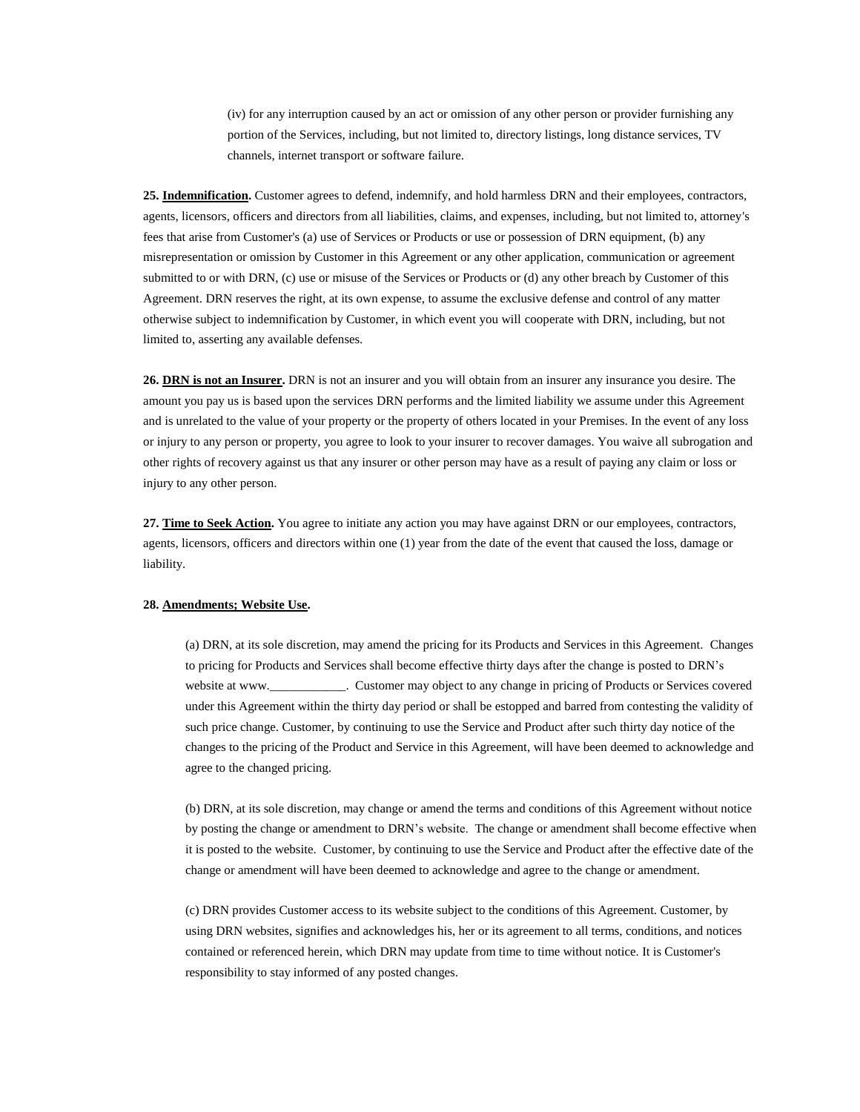(iv) for any interruption caused by an act or omission of any other person or provider furnishing any portion of the Services, including, but not limited to, directory listings, long distance services, TV channels, internet transport or software failure.

**25. Indemnification.** Customer agrees to defend, indemnify, and hold harmless DRN and their employees, contractors, agents, licensors, officers and directors from all liabilities, claims, and expenses, including, but not limited to, attorney's fees that arise from Customer's (a) use of Services or Products or use or possession of DRN equipment, (b) any misrepresentation or omission by Customer in this Agreement or any other application, communication or agreement submitted to or with DRN, (c) use or misuse of the Services or Products or (d) any other breach by Customer of this Agreement. DRN reserves the right, at its own expense, to assume the exclusive defense and control of any matter otherwise subject to indemnification by Customer, in which event you will cooperate with DRN, including, but not limited to, asserting any available defenses.

**26. DRN is not an Insurer.** DRN is not an insurer and you will obtain from an insurer any insurance you desire. The amount you pay us is based upon the services DRN performs and the limited liability we assume under this Agreement and is unrelated to the value of your property or the property of others located in your Premises. In the event of any loss or injury to any person or property, you agree to look to your insurer to recover damages. You waive all subrogation and other rights of recovery against us that any insurer or other person may have as a result of paying any claim or loss or injury to any other person.

**27. Time to Seek Action.** You agree to initiate any action you may have against DRN or our employees, contractors, agents, licensors, officers and directors within one (1) year from the date of the event that caused the loss, damage or liability.

### **28. Amendments; Website Use.**

(a) DRN, at its sole discretion, may amend the pricing for its Products and Services in this Agreement. Changes to pricing for Products and Services shall become effective thirty days after the change is posted to DRN's website at www. **L** Customer may object to any change in pricing of Products or Services covered under this Agreement within the thirty day period or shall be estopped and barred from contesting the validity of such price change. Customer, by continuing to use the Service and Product after such thirty day notice of the changes to the pricing of the Product and Service in this Agreement, will have been deemed to acknowledge and agree to the changed pricing.

(b) DRN, at its sole discretion, may change or amend the terms and conditions of this Agreement without notice by posting the change or amendment to DRN's website. The change or amendment shall become effective when it is posted to the website. Customer, by continuing to use the Service and Product after the effective date of the change or amendment will have been deemed to acknowledge and agree to the change or amendment.

(c) DRN provides Customer access to its website subject to the conditions of this Agreement. Customer, by using DRN websites, signifies and acknowledges his, her or its agreement to all terms, conditions, and notices contained or referenced herein, which DRN may update from time to time without notice. It is Customer's responsibility to stay informed of any posted changes.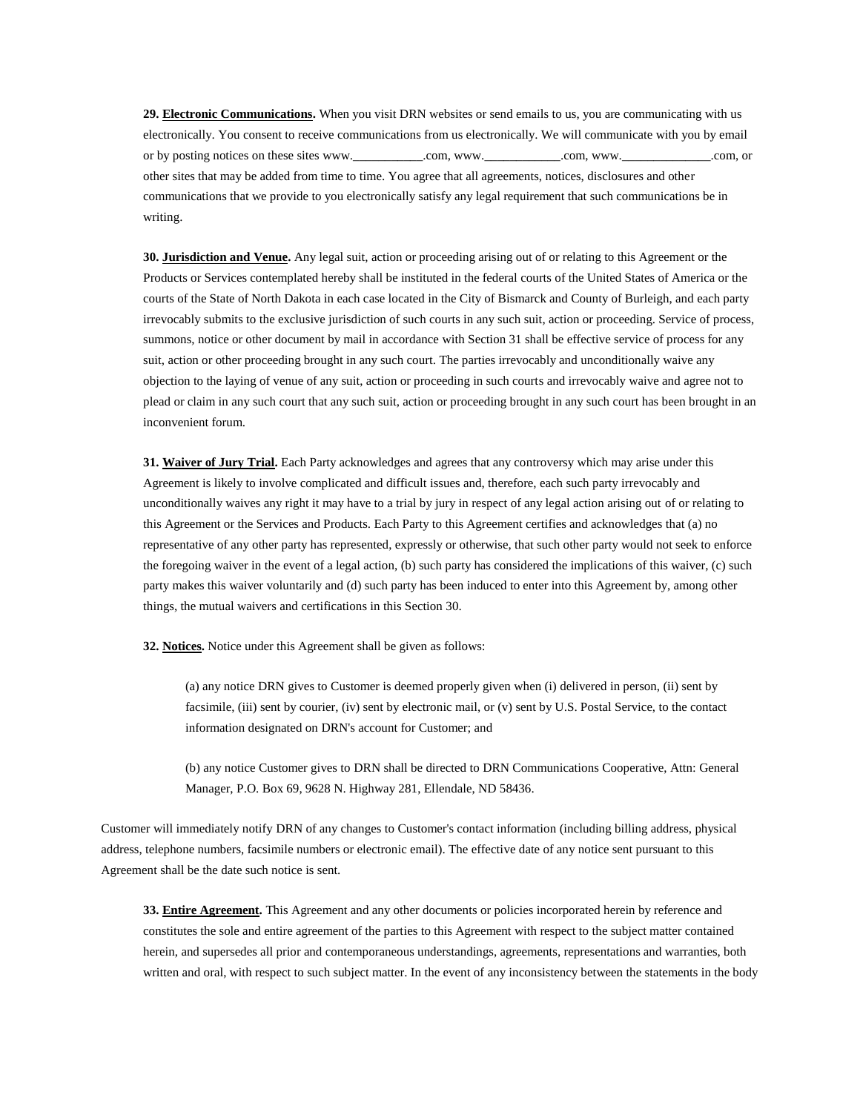**29. Electronic Communications.** When you visit DRN websites or send emails to us, you are communicating with us electronically. You consent to receive communications from us electronically. We will communicate with you by email or by posting notices on these sites www.\_\_\_\_\_\_\_\_\_\_\_\_.com, www.\_\_\_\_\_\_\_\_\_\_\_.com, www.\_\_\_\_\_\_\_\_\_\_\_\_.com, or other sites that may be added from time to time. You agree that all agreements, notices, disclosures and other communications that we provide to you electronically satisfy any legal requirement that such communications be in writing.

**30. Jurisdiction and Venue.** Any legal suit, action or proceeding arising out of or relating to this Agreement or the Products or Services contemplated hereby shall be instituted in the federal courts of the United States of America or the courts of the State of North Dakota in each case located in the City of Bismarck and County of Burleigh, and each party irrevocably submits to the exclusive jurisdiction of such courts in any such suit, action or proceeding. Service of process, summons, notice or other document by mail in accordance with Section 31 shall be effective service of process for any suit, action or other proceeding brought in any such court. The parties irrevocably and unconditionally waive any objection to the laying of venue of any suit, action or proceeding in such courts and irrevocably waive and agree not to plead or claim in any such court that any such suit, action or proceeding brought in any such court has been brought in an inconvenient forum.

**31. Waiver of Jury Trial.** Each Party acknowledges and agrees that any controversy which may arise under this Agreement is likely to involve complicated and difficult issues and, therefore, each such party irrevocably and unconditionally waives any right it may have to a trial by jury in respect of any legal action arising out of or relating to this Agreement or the Services and Products. Each Party to this Agreement certifies and acknowledges that (a) no representative of any other party has represented, expressly or otherwise, that such other party would not seek to enforce the foregoing waiver in the event of a legal action, (b) such party has considered the implications of this waiver, (c) such party makes this waiver voluntarily and (d) such party has been induced to enter into this Agreement by, among other things, the mutual waivers and certifications in this Section 30.

**32. Notices.** Notice under this Agreement shall be given as follows:

(a) any notice DRN gives to Customer is deemed properly given when (i) delivered in person, (ii) sent by facsimile, (iii) sent by courier, (iv) sent by electronic mail, or (v) sent by U.S. Postal Service, to the contact information designated on DRN's account for Customer; and

(b) any notice Customer gives to DRN shall be directed to DRN Communications Cooperative, Attn: General Manager, P.O. Box 69, 9628 N. Highway 281, Ellendale, ND 58436.

Customer will immediately notify DRN of any changes to Customer's contact information (including billing address, physical address, telephone numbers, facsimile numbers or electronic email). The effective date of any notice sent pursuant to this Agreement shall be the date such notice is sent.

**33. Entire Agreement.** This Agreement and any other documents or policies incorporated herein by reference and constitutes the sole and entire agreement of the parties to this Agreement with respect to the subject matter contained herein, and supersedes all prior and contemporaneous understandings, agreements, representations and warranties, both written and oral, with respect to such subject matter. In the event of any inconsistency between the statements in the body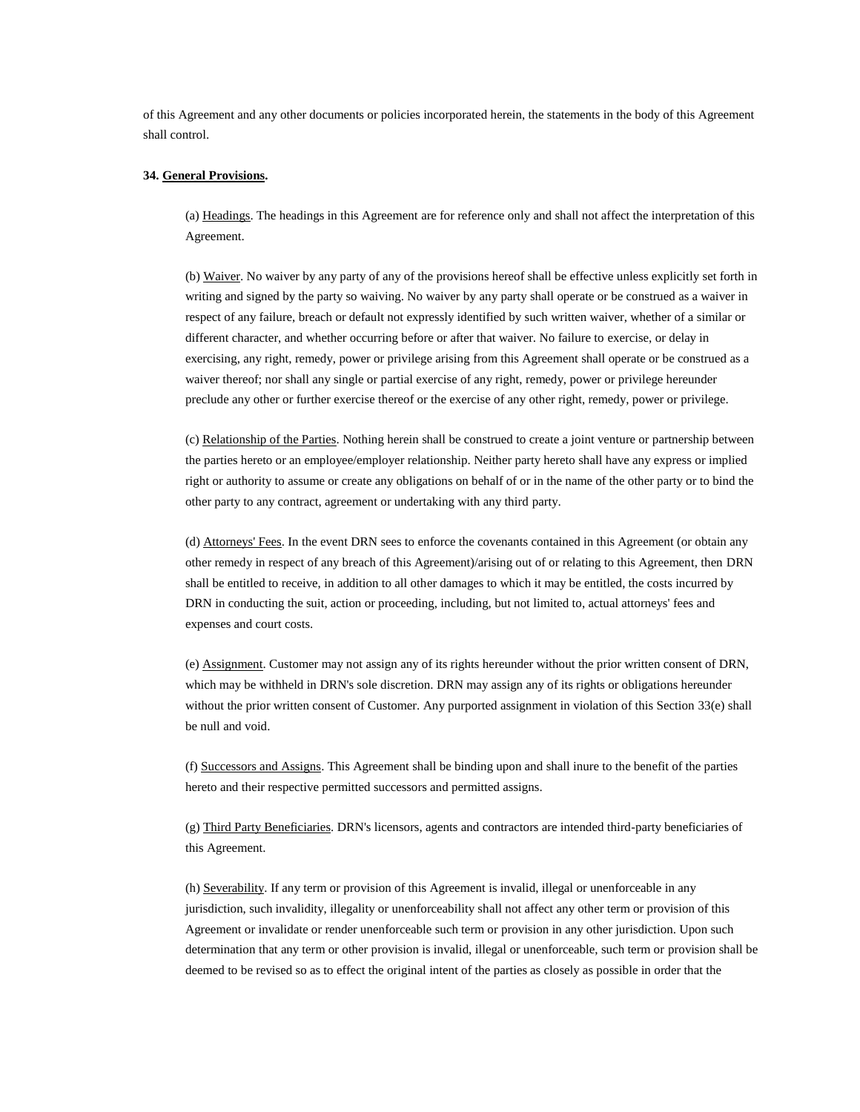of this Agreement and any other documents or policies incorporated herein, the statements in the body of this Agreement shall control.

### **34. General Provisions.**

(a) Headings. The headings in this Agreement are for reference only and shall not affect the interpretation of this Agreement.

(b) Waiver. No waiver by any party of any of the provisions hereof shall be effective unless explicitly set forth in writing and signed by the party so waiving. No waiver by any party shall operate or be construed as a waiver in respect of any failure, breach or default not expressly identified by such written waiver, whether of a similar or different character, and whether occurring before or after that waiver. No failure to exercise, or delay in exercising, any right, remedy, power or privilege arising from this Agreement shall operate or be construed as a waiver thereof; nor shall any single or partial exercise of any right, remedy, power or privilege hereunder preclude any other or further exercise thereof or the exercise of any other right, remedy, power or privilege.

(c) Relationship of the Parties. Nothing herein shall be construed to create a joint venture or partnership between the parties hereto or an employee/employer relationship. Neither party hereto shall have any express or implied right or authority to assume or create any obligations on behalf of or in the name of the other party or to bind the other party to any contract, agreement or undertaking with any third party.

(d) Attorneys' Fees. In the event DRN sees to enforce the covenants contained in this Agreement (or obtain any other remedy in respect of any breach of this Agreement)/arising out of or relating to this Agreement, then DRN shall be entitled to receive, in addition to all other damages to which it may be entitled, the costs incurred by DRN in conducting the suit, action or proceeding, including, but not limited to, actual attorneys' fees and expenses and court costs.

(e) Assignment. Customer may not assign any of its rights hereunder without the prior written consent of DRN, which may be withheld in DRN's sole discretion. DRN may assign any of its rights or obligations hereunder without the prior written consent of Customer. Any purported assignment in violation of this Section 33(e) shall be null and void.

(f) Successors and Assigns. This Agreement shall be binding upon and shall inure to the benefit of the parties hereto and their respective permitted successors and permitted assigns.

(g) Third Party Beneficiaries. DRN's licensors, agents and contractors are intended third-party beneficiaries of this Agreement.

(h) Severability. If any term or provision of this Agreement is invalid, illegal or unenforceable in any jurisdiction, such invalidity, illegality or unenforceability shall not affect any other term or provision of this Agreement or invalidate or render unenforceable such term or provision in any other jurisdiction. Upon such determination that any term or other provision is invalid, illegal or unenforceable, such term or provision shall be deemed to be revised so as to effect the original intent of the parties as closely as possible in order that the